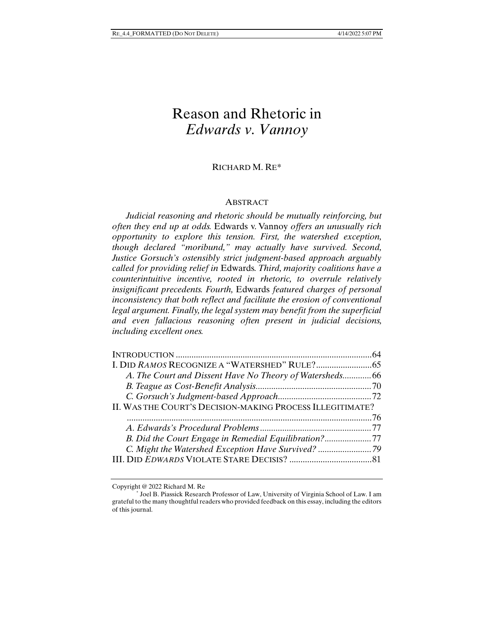# Reason and Rhetoric in *Edwards v. Vannoy*

# RICHARD M. RE\*

# **ABSTRACT**

*Judicial reasoning and rhetoric should be mutually reinforcing, but often they end up at odds.* Edwards v. Vannoy *offers an unusually rich opportunity to explore this tension. First, the watershed exception, though declared "moribund," may actually have survived. Second, Justice Gorsuch's ostensibly strict judgment-based approach arguably called for providing relief in* Edwards*. Third, majority coalitions have a counterintuitive incentive, rooted in rhetoric, to overrule relatively insignificant precedents. Fourth,* Edwards *featured charges of personal inconsistency that both reflect and facilitate the erosion of conventional legal argument. Finally, the legal system may benefit from the superficial and even fallacious reasoning often present in judicial decisions, including excellent ones.* 

| II. WAS THE COURT'S DECISION-MAKING PROCESS ILLEGITIMATE? |  |
|-----------------------------------------------------------|--|
|                                                           |  |
|                                                           |  |
| B. Did the Court Engage in Remedial Equilibration?        |  |
|                                                           |  |
|                                                           |  |
|                                                           |  |

Copyright @ 2022 Richard M. Re

 <sup>\*</sup> Joel B. Piassick Research Professor of Law, University of Virginia School of Law. I am grateful to the many thoughtful readers who provided feedback on this essay, including the editors of this journal.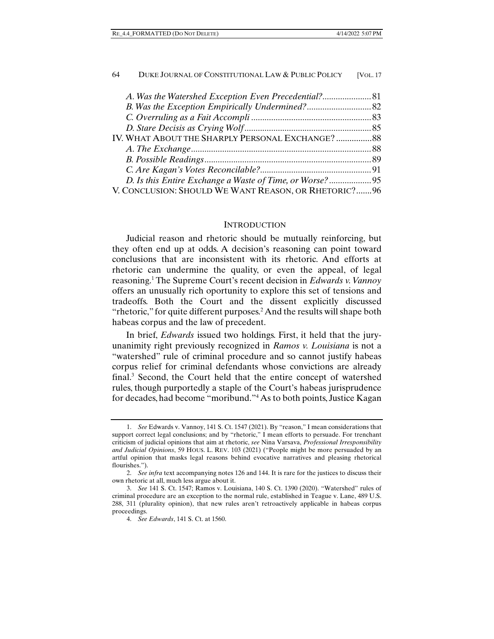| IV. WHAT ABOUT THE SHARPLY PERSONAL EXCHANGE? 88      |  |
|-------------------------------------------------------|--|
|                                                       |  |
|                                                       |  |
|                                                       |  |
|                                                       |  |
| V. CONCLUSION: SHOULD WE WANT REASON, OR RHETORIC? 96 |  |
|                                                       |  |

#### INTRODUCTION

Judicial reason and rhetoric should be mutually reinforcing, but they often end up at odds. A decision's reasoning can point toward conclusions that are inconsistent with its rhetoric. And efforts at rhetoric can undermine the quality, or even the appeal, of legal reasoning.1 The Supreme Court's recent decision in *Edwards v. Vannoy*  offers an unusually rich oportunity to explore this set of tensions and tradeoffs. Both the Court and the dissent explicitly discussed "rhetoric," for quite different purposes.<sup>2</sup> And the results will shape both habeas corpus and the law of precedent.

In brief, *Edwards* issued two holdings. First, it held that the juryunanimity right previously recognized in *Ramos v. Louisiana* is not a "watershed" rule of criminal procedure and so cannot justify habeas corpus relief for criminal defendants whose convictions are already final.<sup>3</sup> Second, the Court held that the entire concept of watershed rules, though purportedly a staple of the Court's habeas jurisprudence for decades, had become "moribund."4 As to both points, Justice Kagan

 <sup>1.</sup> *See* Edwards v. Vannoy, 141 S. Ct. 1547 (2021). By "reason," I mean considerations that support correct legal conclusions; and by "rhetoric," I mean efforts to persuade. For trenchant criticism of judicial opinions that aim at rhetoric, *see* Nina Varsava, *Professional Irresponsibility and Judicial Opinions*, 59 HOUS. L. REV. 103 (2021) ("People might be more persuaded by an artful opinion that masks legal reasons behind evocative narratives and pleasing rhetorical flourishes.").

 <sup>2.</sup> *See infra* text accompanying notes 126 and 144. It is rare for the justices to discuss their own rhetoric at all, much less argue about it.

 <sup>3.</sup> *See* 141 S. Ct. 1547; Ramos v. Louisiana, 140 S. Ct. 1390 (2020). "Watershed" rules of criminal procedure are an exception to the normal rule, established in Teague v. Lane, 489 U.S. 288, 311 (plurality opinion), that new rules aren't retroactively applicable in habeas corpus proceedings.

 <sup>4.</sup> *See Edwards*, 141 S. Ct. at 1560.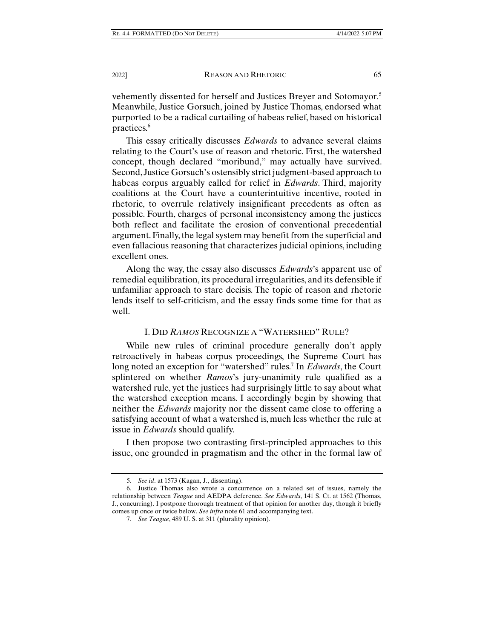vehemently dissented for herself and Justices Breyer and Sotomayor.5 Meanwhile, Justice Gorsuch, joined by Justice Thomas, endorsed what purported to be a radical curtailing of habeas relief, based on historical practices.6

This essay critically discusses *Edwards* to advance several claims relating to the Court's use of reason and rhetoric. First, the watershed concept, though declared "moribund," may actually have survived. Second, Justice Gorsuch's ostensibly strict judgment-based approach to habeas corpus arguably called for relief in *Edwards*. Third, majority coalitions at the Court have a counterintuitive incentive, rooted in rhetoric, to overrule relatively insignificant precedents as often as possible. Fourth, charges of personal inconsistency among the justices both reflect and facilitate the erosion of conventional precedential argument. Finally, the legal system may benefit from the superficial and even fallacious reasoning that characterizes judicial opinions, including excellent ones.

Along the way, the essay also discusses *Edwards*'s apparent use of remedial equilibration, its procedural irregularities, and its defensible if unfamiliar approach to stare decisis. The topic of reason and rhetoric lends itself to self-criticism, and the essay finds some time for that as well.

# I. DID *RAMOS* RECOGNIZE A "WATERSHED" RULE?

While new rules of criminal procedure generally don't apply retroactively in habeas corpus proceedings, the Supreme Court has long noted an exception for "watershed" rules.7 In *Edwards*, the Court splintered on whether *Ramos*'s jury-unanimity rule qualified as a watershed rule, yet the justices had surprisingly little to say about what the watershed exception means. I accordingly begin by showing that neither the *Edwards* majority nor the dissent came close to offering a satisfying account of what a watershed is, much less whether the rule at issue in *Edwards* should qualify.

I then propose two contrasting first-principled approaches to this issue, one grounded in pragmatism and the other in the formal law of

 <sup>5.</sup> *See id*. at 1573 (Kagan, J., dissenting).

 <sup>6.</sup> Justice Thomas also wrote a concurrence on a related set of issues, namely the relationship between *Teague* and AEDPA deference. *See Edwards*, 141 S. Ct. at 1562 (Thomas, J., concurring). I postpone thorough treatment of that opinion for another day, though it briefly comes up once or twice below. *See infra* note 61 and accompanying text.

 <sup>7.</sup> *See Teague*, 489 U. S. at 311 (plurality opinion).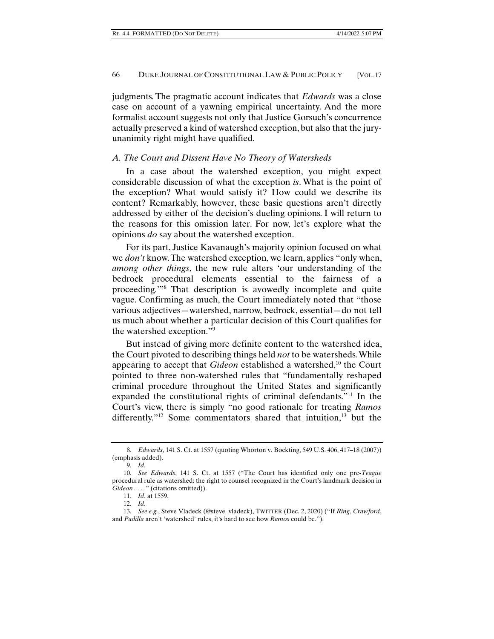judgments. The pragmatic account indicates that *Edwards* was a close case on account of a yawning empirical uncertainty. And the more formalist account suggests not only that Justice Gorsuch's concurrence actually preserved a kind of watershed exception, but also that the juryunanimity right might have qualified.

# *A. The Court and Dissent Have No Theory of Watersheds*

In a case about the watershed exception, you might expect considerable discussion of what the exception *is*. What is the point of the exception? What would satisfy it? How could we describe its content? Remarkably, however, these basic questions aren't directly addressed by either of the decision's dueling opinions. I will return to the reasons for this omission later. For now, let's explore what the opinions *do* say about the watershed exception.

For its part, Justice Kavanaugh's majority opinion focused on what we *don't* know. The watershed exception, we learn, applies "only when, *among other things*, the new rule alters 'our understanding of the bedrock procedural elements essential to the fairness of a proceeding.'"8 That description is avowedly incomplete and quite vague. Confirming as much, the Court immediately noted that "those various adjectives—watershed, narrow, bedrock, essential—do not tell us much about whether a particular decision of this Court qualifies for the watershed exception."9

But instead of giving more definite content to the watershed idea, the Court pivoted to describing things held *not* to be watersheds. While appearing to accept that *Gideon* established a watershed,<sup>10</sup> the Court pointed to three non-watershed rules that "fundamentally reshaped criminal procedure throughout the United States and significantly expanded the constitutional rights of criminal defendants."<sup>11</sup> In the Court's view, there is simply "no good rationale for treating *Ramos* differently."<sup>12</sup> Some commentators shared that intuition, $13$  but the

 <sup>8.</sup> *Edwards*, 141 S. Ct. at 1557 (quoting Whorton v. Bockting, 549 U.S. 406, 417–18 (2007)) (emphasis added).

 <sup>9.</sup> *Id*.

 <sup>10.</sup> *See Edwards*, 141 S. Ct. at 1557 ("The Court has identified only one pre-*Teague* procedural rule as watershed: the right to counsel recognized in the Court's landmark decision in *Gideon* . . . ." (citations omitted)).

 <sup>11.</sup> *Id*. at 1559.

 <sup>12.</sup> *Id*.

 <sup>13.</sup> *See e.g.*, Steve Vladeck (@steve\_vladeck), TWITTER (Dec. 2, 2020) ("If *Ring*, *Crawford*, and *Padilla* aren't 'watershed' rules, it's hard to see how *Ramos* could be.").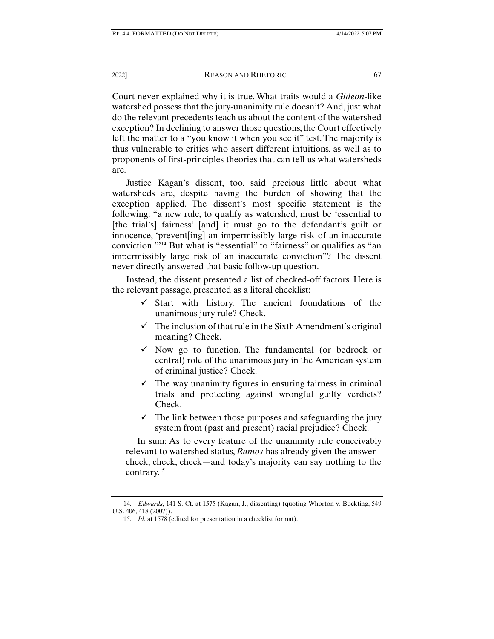Court never explained why it is true. What traits would a *Gideon*-like watershed possess that the jury-unanimity rule doesn't? And, just what do the relevant precedents teach us about the content of the watershed exception? In declining to answer those questions, the Court effectively left the matter to a "you know it when you see it" test. The majority is thus vulnerable to critics who assert different intuitions, as well as to proponents of first-principles theories that can tell us what watersheds are.

Justice Kagan's dissent, too, said precious little about what watersheds are, despite having the burden of showing that the exception applied. The dissent's most specific statement is the following: "a new rule, to qualify as watershed, must be 'essential to [the trial's] fairness' [and] it must go to the defendant's guilt or innocence, 'prevent[ing] an impermissibly large risk of an inaccurate conviction.'"14 But what is "essential" to "fairness" or qualifies as "an impermissibly large risk of an inaccurate conviction"? The dissent never directly answered that basic follow-up question.

Instead, the dissent presented a list of checked-off factors. Here is the relevant passage, presented as a literal checklist:

- $\checkmark$  Start with history. The ancient foundations of the unanimous jury rule? Check.
- $\checkmark$  The inclusion of that rule in the Sixth Amendment's original meaning? Check.
- $\checkmark$  Now go to function. The fundamental (or bedrock or central) role of the unanimous jury in the American system of criminal justice? Check.
- $\checkmark$  The way unanimity figures in ensuring fairness in criminal trials and protecting against wrongful guilty verdicts? Check.
- $\checkmark$  The link between those purposes and safeguarding the jury system from (past and present) racial prejudice? Check.

 In sum: As to every feature of the unanimity rule conceivably relevant to watershed status, *Ramos* has already given the answer check, check, check—and today's majority can say nothing to the contrary.15

 <sup>14.</sup> *Edwards*, 141 S. Ct. at 1575 (Kagan, J., dissenting) (quoting Whorton v. Bockting, 549 U.S. 406, 418 (2007)).

 <sup>15.</sup> *Id*. at 1578 (edited for presentation in a checklist format).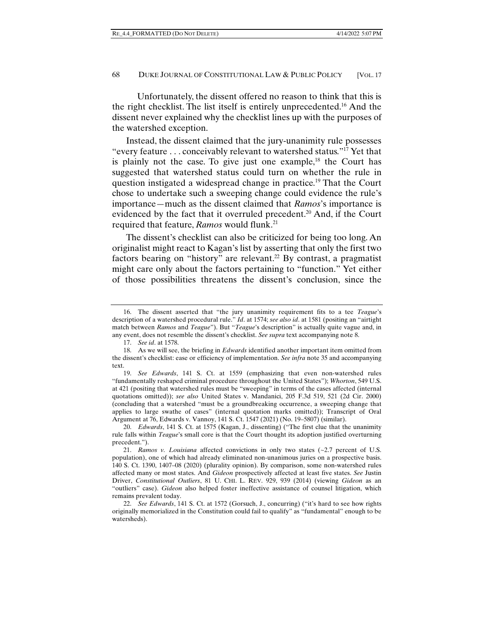Unfortunately, the dissent offered no reason to think that this is the right checklist. The list itself is entirely unprecedented.16 And the dissent never explained why the checklist lines up with the purposes of the watershed exception.

Instead, the dissent claimed that the jury-unanimity rule possesses "every feature . . . conceivably relevant to watershed status."17 Yet that is plainly not the case. To give just one example, $18$  the Court has suggested that watershed status could turn on whether the rule in question instigated a widespread change in practice.<sup>19</sup> That the Court chose to undertake such a sweeping change could evidence the rule's importance—much as the dissent claimed that *Ramos*'s importance is evidenced by the fact that it overruled precedent.<sup>20</sup> And, if the Court required that feature, *Ramos* would flunk.21

The dissent's checklist can also be criticized for being too long. An originalist might react to Kagan's list by asserting that only the first two factors bearing on "history" are relevant.<sup>22</sup> By contrast, a pragmatist might care only about the factors pertaining to "function." Yet either of those possibilities threatens the dissent's conclusion, since the

 <sup>16.</sup> The dissent asserted that "the jury unanimity requirement fits to a tee *Teague*'s description of a watershed procedural rule." *Id*. at 1574; *see also id*. at 1581 (positing an "airtight match between *Ramos* and *Teague*"). But "*Teague*'s description" is actually quite vague and, in any event, does not resemble the dissent's checklist. *See supra* text accompanying note 8.

 <sup>17.</sup> *See id*. at 1578.

 <sup>18.</sup> As we will see, the briefing in *Edwards* identified another important item omitted from the dissent's checklist: ease or efficiency of implementation. *See infra* note 35 and accompanying text.

 <sup>19.</sup> *See Edwards*, 141 S. Ct. at 1559 (emphasizing that even non-watershed rules "fundamentally reshaped criminal procedure throughout the United States"); *Whorton*, 549 U.S. at 421 (positing that watershed rules must be "sweeping" in terms of the cases affected (internal quotations omitted)); *see also* United States v. Mandanici, 205 F.3d 519, 521 (2d Cir. 2000) (concluding that a watershed "must be a groundbreaking occurrence, a sweeping change that applies to large swathe of cases" (internal quotation marks omitted)); Transcript of Oral Argument at 76, Edwards v. Vannoy, 141 S. Ct. 1547 (2021) (No. 19–5807) (similar).

 <sup>20.</sup> *Edwards*, 141 S. Ct. at 1575 (Kagan, J., dissenting) ("The first clue that the unanimity rule falls within *Teague*'s small core is that the Court thought its adoption justified overturning precedent.").

 <sup>21.</sup> *Ramos v. Louisiana* affected convictions in only two states (~2.7 percent of U.S. population), one of which had already eliminated non-unanimous juries on a prospective basis. 140 S. Ct. 1390, 1407–08 (2020) (plurality opinion). By comparison, some non-watershed rules affected many or most states. And *Gideon* prospectively affected at least five states. *See* Justin Driver, *Constitutional Outliers*, 81 U. CHI. L. REV. 929, 939 (2014) (viewing *Gideon* as an "outliers" case). *Gideon* also helped foster ineffective assistance of counsel litigation, which remains prevalent today.

 <sup>22.</sup> *See Edwards*, 141 S. Ct. at 1572 (Gorsuch, J., concurring) ("it's hard to see how rights originally memorialized in the Constitution could fail to qualify" as "fundamental" enough to be watersheds).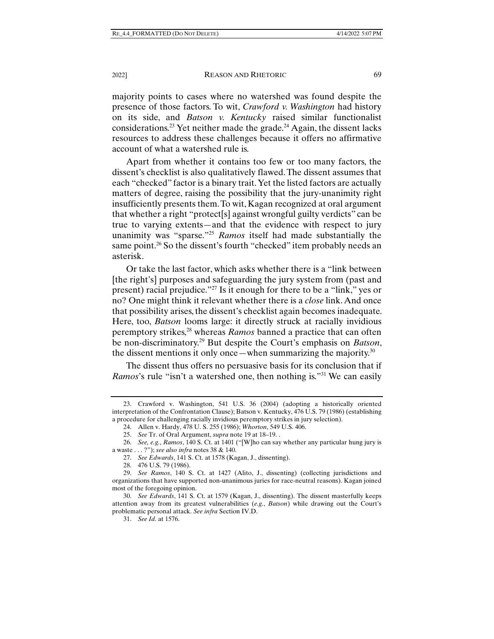majority points to cases where no watershed was found despite the presence of those factors. To wit, *Crawford v. Washington* had history on its side, and *Batson v. Kentucky* raised similar functionalist considerations.<sup>23</sup> Yet neither made the grade.<sup>24</sup> Again, the dissent lacks resources to address these challenges because it offers no affirmative account of what a watershed rule is.

Apart from whether it contains too few or too many factors, the dissent's checklist is also qualitatively flawed. The dissent assumes that each "checked" factor is a binary trait. Yet the listed factors are actually matters of degree, raising the possibility that the jury-unanimity right insufficiently presents them. To wit, Kagan recognized at oral argument that whether a right "protect[s] against wrongful guilty verdicts" can be true to varying extents—and that the evidence with respect to jury unanimity was "sparse."25 *Ramos* itself had made substantially the same point.<sup>26</sup> So the dissent's fourth "checked" item probably needs an asterisk.

Or take the last factor, which asks whether there is a "link between [the right's] purposes and safeguarding the jury system from (past and present) racial prejudice."27 Is it enough for there to be a "link," yes or no? One might think it relevant whether there is a *close* link. And once that possibility arises, the dissent's checklist again becomes inadequate. Here, too, *Batson* looms large: it directly struck at racially invidious peremptory strikes,<sup>28</sup> whereas *Ramos* banned a practice that can often be non-discriminatory.29 But despite the Court's emphasis on *Batson*, the dissent mentions it only once—when summarizing the majority. $30$ 

The dissent thus offers no persuasive basis for its conclusion that if *Ramos*'s rule "isn't a watershed one, then nothing is."<sup>31</sup> We can easily

 <sup>23.</sup> Crawford v. Washington, 541 U.S. 36 (2004) (adopting a historically oriented interpretation of the Confrontation Clause); Batson v. Kentucky, 476 U.S. 79 (1986) (establishing a procedure for challenging racially invidious peremptory strikes in jury selection).

 <sup>24.</sup> Allen v. Hardy, 478 U. S. 255 (1986); *Whorton*, 549 U.S. 406.

 <sup>25.</sup> *See* Tr. of Oral Argument, *supra* note 19 at 18–19. .

 <sup>26.</sup> *See, e.g.*, *Ramos*, 140 S. Ct. at 1401 ("[W]ho can say whether any particular hung jury is a waste . . . ?"); *see also infra* notes 38 & 140.

 <sup>27.</sup> *See Edwards*, 141 S. Ct. at 1578 (Kagan, J., dissenting).

 <sup>28. 476</sup> U.S. 79 (1986).

 <sup>29.</sup> *See Ramos*, 140 S. Ct. at 1427 (Alito, J., dissenting) (collecting jurisdictions and organizations that have supported non-unanimous juries for race-neutral reasons). Kagan joined most of the foregoing opinion.

 <sup>30.</sup> *See Edwards*, 141 S. Ct. at 1579 (Kagan, J., dissenting). The dissent masterfully keeps attention away from its greatest vulnerabilities (*e.g.*, *Batson*) while drawing out the Court's problematic personal attack. *See infra* Section IV.D.

 <sup>31.</sup> *See Id.* at 1576.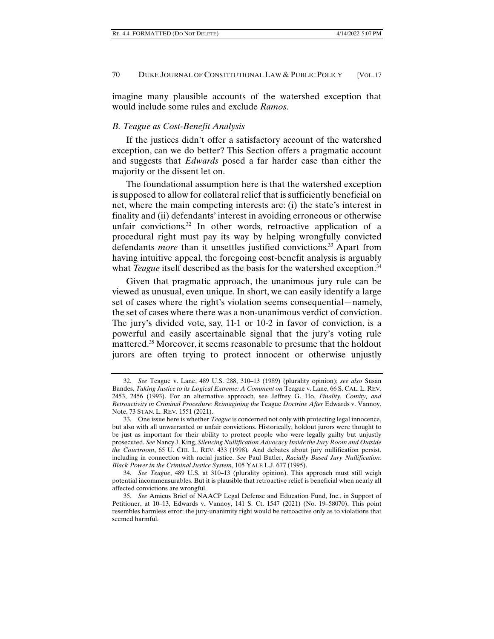imagine many plausible accounts of the watershed exception that would include some rules and exclude *Ramos*.

## *B. Teague as Cost-Benefit Analysis*

If the justices didn't offer a satisfactory account of the watershed exception, can we do better? This Section offers a pragmatic account and suggests that *Edwards* posed a far harder case than either the majority or the dissent let on.

The foundational assumption here is that the watershed exception is supposed to allow for collateral relief that is sufficiently beneficial on net, where the main competing interests are: (i) the state's interest in finality and (ii) defendants' interest in avoiding erroneous or otherwise unfair convictions.<sup>32</sup> In other words, retroactive application of a procedural right must pay its way by helping wrongfully convicted defendants *more* than it unsettles justified convictions.<sup>33</sup> Apart from having intuitive appeal, the foregoing cost-benefit analysis is arguably what *Teague* itself described as the basis for the watershed exception.<sup>34</sup>

Given that pragmatic approach, the unanimous jury rule can be viewed as unusual, even unique. In short, we can easily identify a large set of cases where the right's violation seems consequential—namely, the set of cases where there was a non-unanimous verdict of conviction. The jury's divided vote, say, 11-1 or 10-2 in favor of conviction, is a powerful and easily ascertainable signal that the jury's voting rule mattered.35 Moreover, it seems reasonable to presume that the holdout jurors are often trying to protect innocent or otherwise unjustly

 <sup>32.</sup> *See* Teague v. Lane, 489 U.S. 288, 310–13 (1989) (plurality opinion); *see also* Susan Bandes, *Taking Justice to its Logical Extreme: A Comment on* Teague v. Lane, 66 S. CAL. L. REV. 2453, 2456 (1993). For an alternative approach, see Jeffrey G. Ho, *Finality, Comity, and Retroactivity in Criminal Procedure: Reimagining the* Teague *Doctrine After* Edwards v. Vannoy, Note, 73 STAN. L. REV. 1551 (2021).

 <sup>33.</sup> One issue here is whether *Teague* is concerned not only with protecting legal innocence, but also with all unwarranted or unfair convictions. Historically, holdout jurors were thought to be just as important for their ability to protect people who were legally guilty but unjustly prosecuted. *See* Nancy J. King, *Silencing Nullification Advocacy Inside the Jury Room and Outside the Courtroom*, 65 U. CHI. L. REV. 433 (1998)*.* And debates about jury nullification persist, including in connection with racial justice. *See* Paul Butler, *Racially Based Jury Nullification: Black Power in the Criminal Justice System*, 105 YALE L.J. 677 (1995).

 <sup>34.</sup> *See Teague*, 489 U.S. at 310–13 (plurality opinion). This approach must still weigh potential incommensurables. But it is plausible that retroactive relief is beneficial when nearly all affected convictions are wrongful.

 <sup>35.</sup> *See* Amicus Brief of NAACP Legal Defense and Education Fund, Inc., in Support of Petitioner, at 10–13, Edwards v. Vannoy, 141 S. Ct. 1547 (2021) (No. 19–58070). This point resembles harmless error: the jury-unanimity right would be retroactive only as to violations that seemed harmful.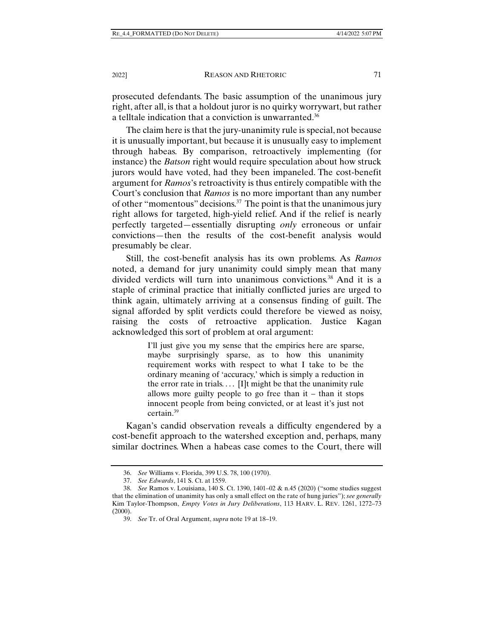prosecuted defendants. The basic assumption of the unanimous jury right, after all, is that a holdout juror is no quirky worrywart, but rather a telltale indication that a conviction is unwarranted.<sup>36</sup>

The claim here is that the jury-unanimity rule is special, not because it is unusually important, but because it is unusually easy to implement through habeas. By comparison, retroactively implementing (for instance) the *Batson* right would require speculation about how struck jurors would have voted, had they been impaneled. The cost-benefit argument for *Ramos*'s retroactivity is thus entirely compatible with the Court's conclusion that *Ramos* is no more important than any number of other "momentous" decisions.37 The point is that the unanimous jury right allows for targeted, high-yield relief. And if the relief is nearly perfectly targeted—essentially disrupting *only* erroneous or unfair convictions—then the results of the cost-benefit analysis would presumably be clear.

Still, the cost-benefit analysis has its own problems. As *Ramos*  noted, a demand for jury unanimity could simply mean that many divided verdicts will turn into unanimous convictions.38 And it is a staple of criminal practice that initially conflicted juries are urged to think again, ultimately arriving at a consensus finding of guilt. The signal afforded by split verdicts could therefore be viewed as noisy, raising the costs of retroactive application. Justice Kagan acknowledged this sort of problem at oral argument:

> I'll just give you my sense that the empirics here are sparse, maybe surprisingly sparse, as to how this unanimity requirement works with respect to what I take to be the ordinary meaning of 'accuracy,' which is simply a reduction in the error rate in trials....  $[I]$ t might be that the unanimity rule allows more guilty people to go free than it – than it stops innocent people from being convicted, or at least it's just not certain.39

Kagan's candid observation reveals a difficulty engendered by a cost-benefit approach to the watershed exception and, perhaps, many similar doctrines. When a habeas case comes to the Court, there will

 <sup>36.</sup> *See* Williams v. Florida, 399 U.S. 78, 100 (1970).

 <sup>37.</sup> *See Edwards*, 141 S. Ct. at 1559.

 <sup>38.</sup> *See* Ramos v. Louisiana, 140 S. Ct. 1390, 1401–02 & n.45 (2020) ("some studies suggest that the elimination of unanimity has only a small effect on the rate of hung juries"); *see generally*  Kim Taylor-Thompson, *Empty Votes in Jury Deliberations*, 113 HARV. L. REV. 1261, 1272–73 (2000).

 <sup>39.</sup> *See* Tr. of Oral Argument, *supra* note 19 at 18–19.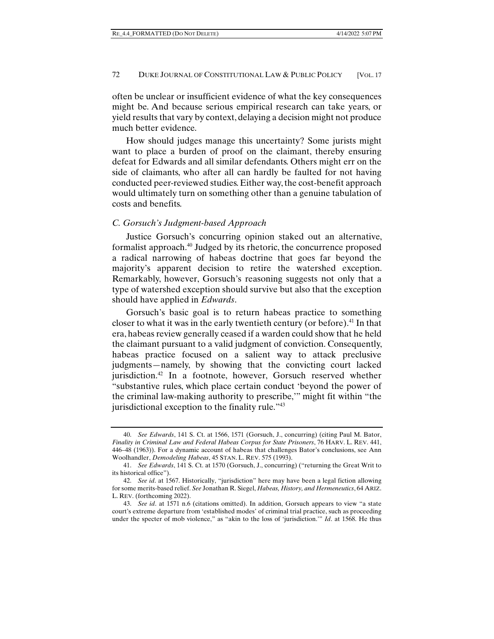often be unclear or insufficient evidence of what the key consequences might be. And because serious empirical research can take years, or yield results that vary by context, delaying a decision might not produce much better evidence.

How should judges manage this uncertainty? Some jurists might want to place a burden of proof on the claimant, thereby ensuring defeat for Edwards and all similar defendants. Others might err on the side of claimants, who after all can hardly be faulted for not having conducted peer-reviewed studies. Either way, the cost-benefit approach would ultimately turn on something other than a genuine tabulation of costs and benefits.

## *C. Gorsuch's Judgment-based Approach*

Justice Gorsuch's concurring opinion staked out an alternative, formalist approach.40 Judged by its rhetoric, the concurrence proposed a radical narrowing of habeas doctrine that goes far beyond the majority's apparent decision to retire the watershed exception. Remarkably, however, Gorsuch's reasoning suggests not only that a type of watershed exception should survive but also that the exception should have applied in *Edwards*.

Gorsuch's basic goal is to return habeas practice to something closer to what it was in the early twentieth century (or before).<sup>41</sup> In that era, habeas review generally ceased if a warden could show that he held the claimant pursuant to a valid judgment of conviction. Consequently, habeas practice focused on a salient way to attack preclusive judgments—namely, by showing that the convicting court lacked jurisdiction.42 In a footnote, however, Gorsuch reserved whether "substantive rules, which place certain conduct 'beyond the power of the criminal law-making authority to prescribe,'" might fit within "the jurisdictional exception to the finality rule."<sup>43</sup>

 <sup>40.</sup> *See Edwards*, 141 S. Ct. at 1566, 1571 (Gorsuch, J., concurring) (citing Paul M. Bator, *Finality in Criminal Law and Federal Habeas Corpus for State Prisoners*, 76 HARV. L. REV. 441, 446–48 (1963)). For a dynamic account of habeas that challenges Bator's conclusions, see Ann Woolhandler, *Demodeling Habeas*, 45 STAN. L. REV. 575 (1993).

 <sup>41.</sup> *See Edwards*, 141 S. Ct. at 1570 (Gorsuch, J., concurring) ("returning the Great Writ to its historical office").

 <sup>42.</sup> *See id*. at 1567. Historically, "jurisdiction" here may have been a legal fiction allowing for some merits-based relief. *See* Jonathan R. Siegel, *Habeas, History, and Hermeneutics*, 64 ARIZ. L. REV. (forthcoming 2022).

 <sup>43.</sup> *See id*. at 1571 n.6 (citations omitted). In addition, Gorsuch appears to view "a state court's extreme departure from 'established modes' of criminal trial practice, such as proceeding under the specter of mob violence," as "akin to the loss of 'jurisdiction.'" *Id*. at 1568. He thus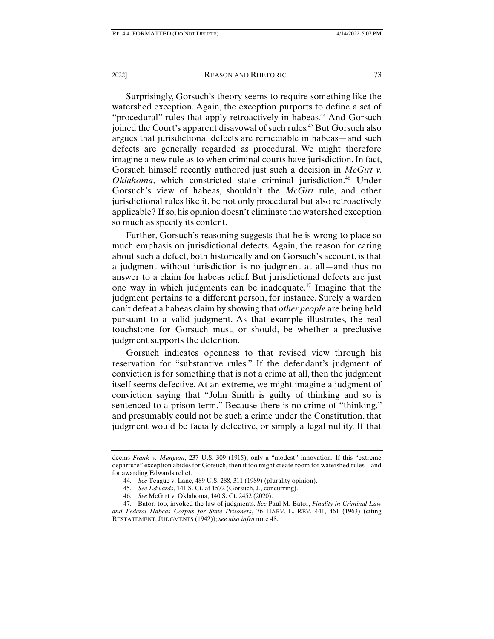Surprisingly, Gorsuch's theory seems to require something like the watershed exception. Again, the exception purports to define a set of "procedural" rules that apply retroactively in habeas.<sup>44</sup> And Gorsuch joined the Court's apparent disavowal of such rules.45 But Gorsuch also argues that jurisdictional defects are remediable in habeas—and such defects are generally regarded as procedural. We might therefore imagine a new rule as to when criminal courts have jurisdiction. In fact, Gorsuch himself recently authored just such a decision in *McGirt v. Oklahoma*, which constricted state criminal jurisdiction.<sup>46</sup> Under Gorsuch's view of habeas, shouldn't the *McGirt* rule, and other jurisdictional rules like it, be not only procedural but also retroactively applicable? If so, his opinion doesn't eliminate the watershed exception so much as specify its content.

Further, Gorsuch's reasoning suggests that he is wrong to place so much emphasis on jurisdictional defects. Again, the reason for caring about such a defect, both historically and on Gorsuch's account, is that a judgment without jurisdiction is no judgment at all—and thus no answer to a claim for habeas relief. But jurisdictional defects are just one way in which judgments can be inadequate.47 Imagine that the judgment pertains to a different person, for instance. Surely a warden can't defeat a habeas claim by showing that *other people* are being held pursuant to a valid judgment. As that example illustrates, the real touchstone for Gorsuch must, or should, be whether a preclusive judgment supports the detention.

Gorsuch indicates openness to that revised view through his reservation for "substantive rules." If the defendant's judgment of conviction is for something that is not a crime at all, then the judgment itself seems defective. At an extreme, we might imagine a judgment of conviction saying that "John Smith is guilty of thinking and so is sentenced to a prison term." Because there is no crime of "thinking," and presumably could not be such a crime under the Constitution, that judgment would be facially defective, or simply a legal nullity. If that

deems *Frank v. Mangum*, 237 U.S. 309 (1915), only a "modest" innovation. If this "extreme departure" exception abides for Gorsuch, then it too might create room for watershed rules—and for awarding Edwards relief.

 <sup>44.</sup> *See* Teague v. Lane, 489 U.S. 288, 311 (1989) (plurality opinion).

 <sup>45.</sup> *See Edwards*, 141 S. Ct. at 1572 (Gorsuch, J., concurring).

 <sup>46.</sup> *See* McGirt v. Oklahoma, 140 S. Ct. 2452 (2020).

 <sup>47.</sup> Bator, too, invoked the law of judgments. *See* Paul M. Bator, *Finality in Criminal Law and Federal Habeas Corpus for State Prisoners*, 76 HARV. L. REV. 441, 461 (1963) (citing RESTATEMENT, JUDGMENTS (1942)); *see also infra* note 48.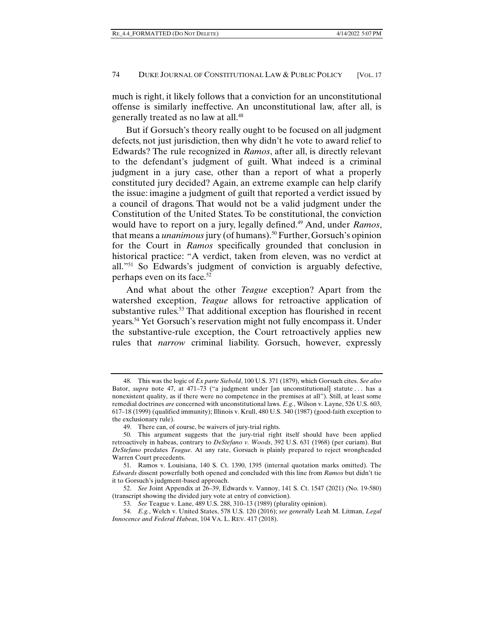much is right, it likely follows that a conviction for an unconstitutional offense is similarly ineffective. An unconstitutional law, after all, is generally treated as no law at all.<sup>48</sup>

But if Gorsuch's theory really ought to be focused on all judgment defects, not just jurisdiction, then why didn't he vote to award relief to Edwards? The rule recognized in *Ramos*, after all, is directly relevant to the defendant's judgment of guilt. What indeed is a criminal judgment in a jury case, other than a report of what a properly constituted jury decided? Again, an extreme example can help clarify the issue: imagine a judgment of guilt that reported a verdict issued by a council of dragons. That would not be a valid judgment under the Constitution of the United States. To be constitutional, the conviction would have to report on a jury, legally defined.49 And, under *Ramos*, that means a *unanimous* jury (of humans).50 Further, Gorsuch's opinion for the Court in *Ramos* specifically grounded that conclusion in historical practice: "A verdict, taken from eleven, was no verdict at all."51 So Edwards's judgment of conviction is arguably defective, perhaps even on its face.52

And what about the other *Teague* exception? Apart from the watershed exception, *Teague* allows for retroactive application of substantive rules.<sup>53</sup> That additional exception has flourished in recent years.54 Yet Gorsuch's reservation might not fully encompass it. Under the substantive-rule exception, the Court retroactively applies new rules that *narrow* criminal liability. Gorsuch, however, expressly

 <sup>48.</sup> This was the logic of *Ex parte Siebold*, 100 U.S. 371 (1879), which Gorsuch cites. *See also*  Bator, *supra* note 47, at 471–73 ("a judgment under [an unconstitutional] statute ... has a nonexistent quality, as if there were no competence in the premises at all"). Still, at least some remedial doctrines *are* concerned with unconstitutional laws. *E.g.*, Wilson v. Layne, 526 U.S. 603, 617–18 (1999) (qualified immunity); Illinois v. Krull, 480 U.S. 340 (1987) (good-faith exception to the exclusionary rule).

 <sup>49.</sup> There can, of course, be waivers of jury-trial rights.

 <sup>50.</sup> This argument suggests that the jury-trial right itself should have been applied retroactively in habeas, contrary to *DeStefano v. Woods*, 392 U.S. 631 (1968) (per curiam). But *DeStefano* predates *Teague*. At any rate, Gorsuch is plainly prepared to reject wrongheaded Warren Court precedents.

 <sup>51.</sup> Ramos v. Louisiana, 140 S. Ct. 1390, 1395 (internal quotation marks omitted). The *Edwards* dissent powerfully both opened and concluded with this line from *Ramos* but didn't tie it to Gorsuch's judgment-based approach.

 <sup>52.</sup> *See* Joint Appendix at 26–39, Edwards v. Vannoy, 141 S. Ct. 1547 (2021) (No. 19-580) (transcript showing the divided jury vote at entry of conviction).

 <sup>53.</sup> *See* Teague v. Lane, 489 U.S. 288, 310–13 (1989) (plurality opinion).

 <sup>54.</sup> *E.g.*, Welch v. United States, 578 U.S. 120 (2016); *see generally* Leah M. Litman, *Legal Innocence and Federal Habeas*, 104 VA. L. REV. 417 (2018).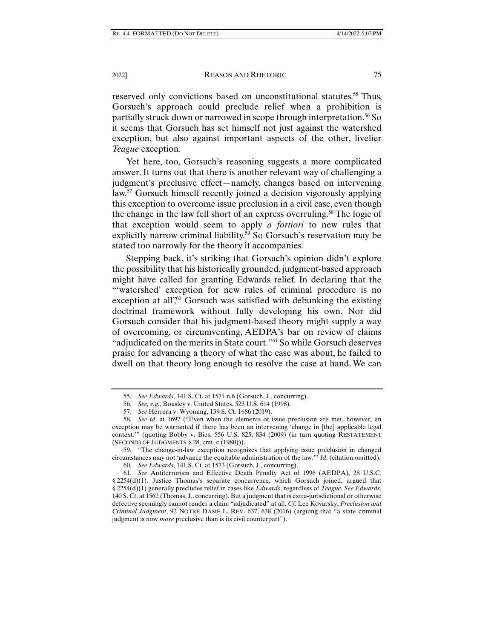reserved only convictions based on unconstitutional statutes.<sup>55</sup> Thus, Gorsuch's approach could preclude relief when a prohibition is partially struck down or narrowed in scope through interpretation.<sup>56</sup> So it seems that Gorsuch has set himself not just against the watershed exception, but also against important aspects of the other, livelier *Teague* exception.

Yet here, too, Gorsuch's reasoning suggests a more complicated answer. It turns out that there is another relevant way of challenging a judgment's preclusive effect—namely, changes based on intervening law.57 Gorsuch himself recently joined a decision vigorously applying this exception to overcome issue preclusion in a civil case, even though the change in the law fell short of an express overruling.<sup>58</sup> The logic of that exception would seem to apply *a fortiori* to new rules that explicitly narrow criminal liability.<sup>59</sup> So Gorsuch's reservation may be stated too narrowly for the theory it accompanies.

Stepping back, it's striking that Gorsuch's opinion didn't explore the possibility that his historically grounded, judgment-based approach might have called for granting Edwards relief. In declaring that the "'watershed' exception for new rules of criminal procedure is no exception at all<sup>7,60</sup> Gorsuch was satisfied with debunking the existing doctrinal framework without fully developing his own. Nor did Gorsuch consider that his judgment-based theory might supply a way of overcoming, or circumventing, AEDPA's bar on review of claims "adjudicated on the merits in State court."61 So while Gorsuch deserves praise for advancing a theory of what the case was about, he failed to dwell on that theory long enough to resolve the case at hand. We can

 <sup>55.</sup> *See Edwards*, 141 S. Ct. at 1571 n.6 (Gorsuch, J., concurring).

 <sup>56.</sup> *See, e.g.*, Bousley v. United States, 523 U.S. 614 (1998).

 <sup>57.</sup> *See* Herrera v. Wyoming, 139 S. Ct. 1686 (2019).

 <sup>58.</sup> *See id*. at 1697 ("Even when the elements of issue preclusion are met, however, an exception may be warranted if there has been an intervening 'change in [the] applicable legal context.'" (quoting Bobby v. Bies, 556 U.S. 825, 834 (2009) (in turn quoting RESTATEMENT (SECOND) OF JUDGMENTS § 28, cmt. c (1980))).

 <sup>59. &</sup>quot;The change-in-law exception recognizes that applying issue preclusion in changed circumstances may not 'advance the equitable administration of the law.'" *Id*. (citation omitted).

 <sup>60.</sup> *See Edwards*, 141 S. Ct. at 1573 (Gorsuch, J., concurring).

 <sup>61.</sup> *See* Antiterrorism and Effective Death Penalty Act of 1996 (AEDPA), 28 U.S.C. § 2254(d)(1). Justice Thomas's separate concurrence, which Gorsuch joined, argued that § 2254(d)(1) generally precludes relief in cases like *Edwards*, regardless of *Teague*. *See Edwards*, 140 S. Ct. at 1562 (Thomas, J., concurring). But a judgment that is extra-jurisdictional or otherwise defective seemingly cannot render a claim "adjudicated" at all. *Cf*. Lee Kovarsky, *Preclusion and Criminal Judgment*, 92 NOTRE DAME L. REV. 637, 638 (2016) (arguing that "a state criminal judgment is now *more* preclusive than is its civil counterpart").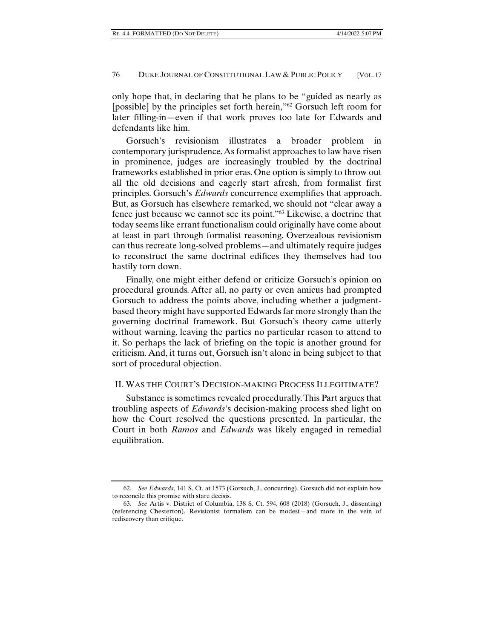only hope that, in declaring that he plans to be "guided as nearly as [possible] by the principles set forth herein,"62 Gorsuch left room for later filling-in—even if that work proves too late for Edwards and defendants like him.

Gorsuch's revisionism illustrates a broader problem in contemporary jurisprudence. As formalist approaches to law have risen in prominence, judges are increasingly troubled by the doctrinal frameworks established in prior eras. One option is simply to throw out all the old decisions and eagerly start afresh, from formalist first principles. Gorsuch's *Edwards* concurrence exemplifies that approach. But, as Gorsuch has elsewhere remarked, we should not "clear away a fence just because we cannot see its point."63 Likewise, a doctrine that today seems like errant functionalism could originally have come about at least in part through formalist reasoning. Overzealous revisionism can thus recreate long-solved problems—and ultimately require judges to reconstruct the same doctrinal edifices they themselves had too hastily torn down.

Finally, one might either defend or criticize Gorsuch's opinion on procedural grounds. After all, no party or even amicus had prompted Gorsuch to address the points above, including whether a judgmentbased theory might have supported Edwards far more strongly than the governing doctrinal framework. But Gorsuch's theory came utterly without warning, leaving the parties no particular reason to attend to it. So perhaps the lack of briefing on the topic is another ground for criticism. And, it turns out, Gorsuch isn't alone in being subject to that sort of procedural objection.

# II. WAS THE COURT'S DECISION-MAKING PROCESS ILLEGITIMATE?

Substance is sometimes revealed procedurally. This Part argues that troubling aspects of *Edwards*'s decision-making process shed light on how the Court resolved the questions presented. In particular, the Court in both *Ramos* and *Edwards* was likely engaged in remedial equilibration.

 <sup>62.</sup> *See Edwards*, 141 S. Ct. at 1573 (Gorsuch, J., concurring). Gorsuch did not explain how to reconcile this promise with stare decisis.

 <sup>63.</sup> *See* Artis v. District of Columbia, 138 S. Ct. 594, 608 (2018) (Gorsuch, J., dissenting) (referencing Chesterton). Revisionist formalism can be modest—and more in the vein of rediscovery than critique.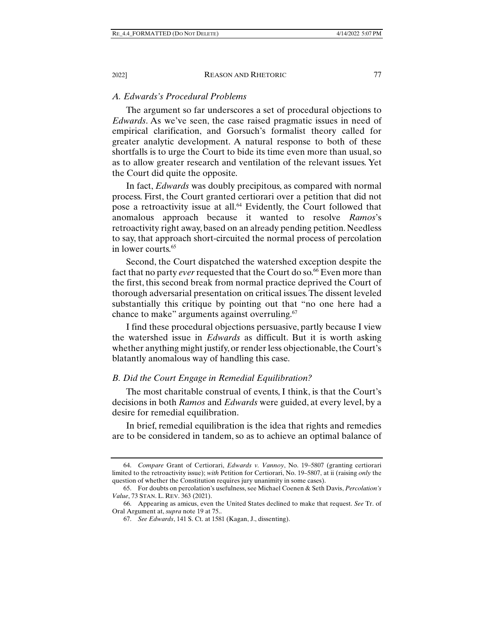# *A. Edwards's Procedural Problems*

The argument so far underscores a set of procedural objections to *Edwards*. As we've seen, the case raised pragmatic issues in need of empirical clarification, and Gorsuch's formalist theory called for greater analytic development. A natural response to both of these shortfalls is to urge the Court to bide its time even more than usual, so as to allow greater research and ventilation of the relevant issues. Yet the Court did quite the opposite.

In fact, *Edwards* was doubly precipitous, as compared with normal process. First, the Court granted certiorari over a petition that did not pose a retroactivity issue at all.<sup>64</sup> Evidently, the Court followed that anomalous approach because it wanted to resolve *Ramos*'s retroactivity right away, based on an already pending petition. Needless to say, that approach short-circuited the normal process of percolation in lower courts.65

Second, the Court dispatched the watershed exception despite the fact that no party *ever* requested that the Court do so.<sup>66</sup> Even more than the first, this second break from normal practice deprived the Court of thorough adversarial presentation on critical issues. The dissent leveled substantially this critique by pointing out that "no one here had a chance to make" arguments against overruling.<sup>67</sup>

I find these procedural objections persuasive, partly because I view the watershed issue in *Edwards* as difficult. But it is worth asking whether anything might justify, or render less objectionable, the Court's blatantly anomalous way of handling this case.

# *B. Did the Court Engage in Remedial Equilibration?*

The most charitable construal of events, I think, is that the Court's decisions in both *Ramos* and *Edwards* were guided, at every level, by a desire for remedial equilibration.

In brief, remedial equilibration is the idea that rights and remedies are to be considered in tandem, so as to achieve an optimal balance of

 <sup>64.</sup> *Compare* Grant of Certiorari, *Edwards v. Vannoy*, No. 19–5807 (granting certiorari limited to the retroactivity issue); *with* Petition for Certiorari, No. 19–5807, at ii (raising *only* the question of whether the Constitution requires jury unanimity in some cases).

 <sup>65.</sup> For doubts on percolation's usefulness, see Michael Coenen & Seth Davis, *Percolation's Value*, 73 STAN. L. REV. 363 (2021).

 <sup>66.</sup> Appearing as amicus, even the United States declined to make that request. *See* Tr. of Oral Argument at, *supra* note 19 at 75..

 <sup>67.</sup> *See Edwards*, 141 S. Ct. at 1581 (Kagan, J., dissenting).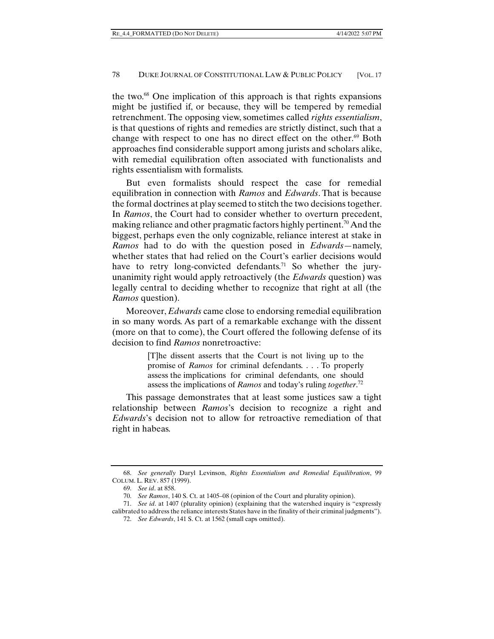the two. $68$  One implication of this approach is that rights expansions might be justified if, or because, they will be tempered by remedial retrenchment. The opposing view, sometimes called *rights essentialism*, is that questions of rights and remedies are strictly distinct, such that a change with respect to one has no direct effect on the other. $69$  Both approaches find considerable support among jurists and scholars alike, with remedial equilibration often associated with functionalists and rights essentialism with formalists.

But even formalists should respect the case for remedial equilibration in connection with *Ramos* and *Edwards*. That is because the formal doctrines at play seemed to stitch the two decisions together. In *Ramos*, the Court had to consider whether to overturn precedent, making reliance and other pragmatic factors highly pertinent.<sup>70</sup> And the biggest, perhaps even the only cognizable, reliance interest at stake in *Ramos* had to do with the question posed in *Edwards*—namely, whether states that had relied on the Court's earlier decisions would have to retry long-convicted defendants.<sup>71</sup> So whether the juryunanimity right would apply retroactively (the *Edwards* question) was legally central to deciding whether to recognize that right at all (the *Ramos* question).

Moreover, *Edwards* came close to endorsing remedial equilibration in so many words. As part of a remarkable exchange with the dissent (more on that to come), the Court offered the following defense of its decision to find *Ramos* nonretroactive:

> [T]he dissent asserts that the Court is not living up to the promise of *Ramos* for criminal defendants. . . . To properly assess the implications for criminal defendants, one should assess the implications of *Ramos* and today's ruling *together*. 72

This passage demonstrates that at least some justices saw a tight relationship between *Ramos*'s decision to recognize a right and *Edwards*'s decision not to allow for retroactive remediation of that right in habeas.

 <sup>68.</sup> *See generally* Daryl Levinson, *Rights Essentialism and Remedial Equilibration*, 99 COLUM. L. REV. 857 (1999).

 <sup>69.</sup> *See id*. at 858.

 <sup>70.</sup> *See Ramos*, 140 S. Ct. at 1405–08 (opinion of the Court and plurality opinion).

 <sup>71.</sup> *See id*. at 1407 (plurality opinion) (explaining that the watershed inquiry is "expressly calibrated to address the reliance interests States have in the finality of their criminal judgments").

 <sup>72.</sup> *See Edwards*, 141 S. Ct. at 1562 (small caps omitted).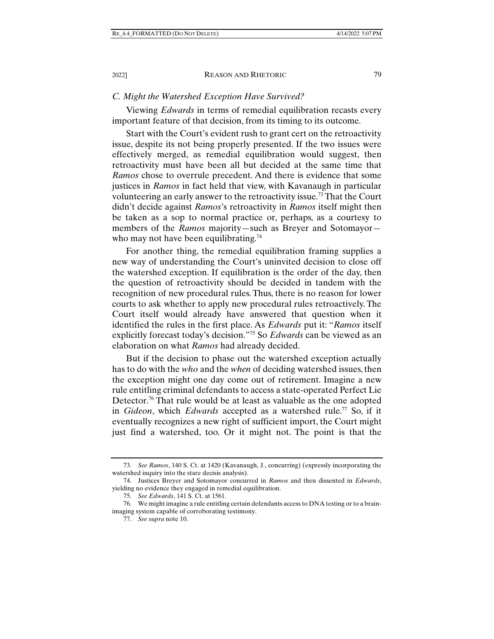## *C. Might the Watershed Exception Have Survived?*

Viewing *Edwards* in terms of remedial equilibration recasts every important feature of that decision, from its timing to its outcome.

Start with the Court's evident rush to grant cert on the retroactivity issue, despite its not being properly presented. If the two issues were effectively merged, as remedial equilibration would suggest, then retroactivity must have been all but decided at the same time that *Ramos* chose to overrule precedent. And there is evidence that some justices in *Ramos* in fact held that view, with Kavanaugh in particular volunteering an early answer to the retroactivity issue.73 That the Court didn't decide against *Ramos*'s retroactivity in *Ramos* itself might then be taken as a sop to normal practice or, perhaps, as a courtesy to members of the *Ramos* majority—such as Breyer and Sotomayor who may not have been equilibrating.<sup>74</sup>

For another thing, the remedial equilibration framing supplies a new way of understanding the Court's uninvited decision to close off the watershed exception. If equilibration is the order of the day, then the question of retroactivity should be decided in tandem with the recognition of new procedural rules. Thus, there is no reason for lower courts to ask whether to apply new procedural rules retroactively. The Court itself would already have answered that question when it identified the rules in the first place. As *Edwards* put it: "*Ramos* itself explicitly forecast today's decision."75 So *Edwards* can be viewed as an elaboration on what *Ramos* had already decided.

But if the decision to phase out the watershed exception actually has to do with the *who* and the *when* of deciding watershed issues, then the exception might one day come out of retirement. Imagine a new rule entitling criminal defendants to access a state-operated Perfect Lie Detector.76 That rule would be at least as valuable as the one adopted in *Gideon*, which *Edwards* accepted as a watershed rule.<sup>77</sup> So, if it eventually recognizes a new right of sufficient import, the Court might just find a watershed, too. Or it might not. The point is that the

 <sup>73.</sup> *See Ramos*, 140 S. Ct. at 1420 (Kavanaugh, J., concurring) (expressly incorporating the watershed inquiry into the stare decisis analysis).

 <sup>74.</sup> Justices Breyer and Sotomayor concurred in *Ramos* and then dissented in *Edwards*, yielding no evidence they engaged in remedial equilibration.

 <sup>75.</sup> *See Edwards*, 141 S. Ct. at 1561.

 <sup>76.</sup> We might imagine a rule entitling certain defendants access to DNA testing or to a brainimaging system capable of corroborating testimony.

 <sup>77.</sup> *See supra* note 10.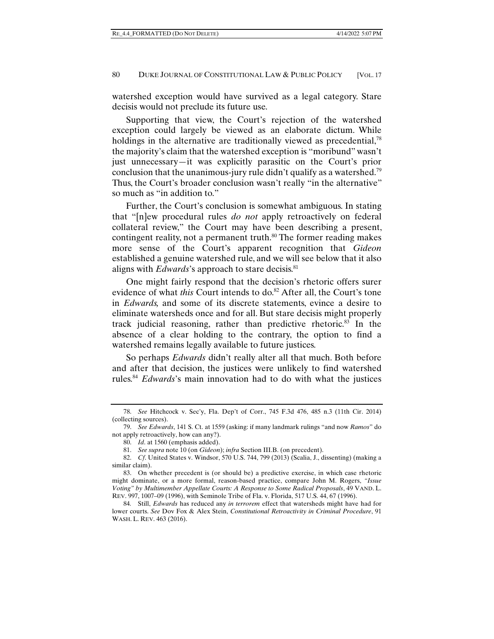watershed exception would have survived as a legal category. Stare decisis would not preclude its future use.

Supporting that view, the Court's rejection of the watershed exception could largely be viewed as an elaborate dictum. While holdings in the alternative are traditionally viewed as precedential,  $78$ the majority's claim that the watershed exception is "moribund" wasn't just unnecessary—it was explicitly parasitic on the Court's prior conclusion that the unanimous-jury rule didn't qualify as a watershed.<sup>79</sup> Thus, the Court's broader conclusion wasn't really "in the alternative" so much as "in addition to."

Further, the Court's conclusion is somewhat ambiguous. In stating that "[n]ew procedural rules *do not* apply retroactively on federal collateral review," the Court may have been describing a present, contingent reality, not a permanent truth.<sup>80</sup> The former reading makes more sense of the Court's apparent recognition that *Gideon*  established a genuine watershed rule, and we will see below that it also aligns with *Edwards*'s approach to stare decisis.<sup>81</sup>

One might fairly respond that the decision's rhetoric offers surer evidence of what *this* Court intends to do.<sup>82</sup> After all, the Court's tone in *Edwards,* and some of its discrete statements, evince a desire to eliminate watersheds once and for all. But stare decisis might properly track judicial reasoning, rather than predictive rhetoric.83 In the absence of a clear holding to the contrary, the option to find a watershed remains legally available to future justices.

So perhaps *Edwards* didn't really alter all that much. Both before and after that decision, the justices were unlikely to find watershed rules.84 *Edwards*'s main innovation had to do with what the justices

 <sup>78.</sup> *See* Hitchcock v. Sec'y, Fla. Dep't of Corr., 745 F.3d 476, 485 n.3 (11th Cir. 2014) (collecting sources).

 <sup>79.</sup> *See Edwards*, 141 S. Ct. at 1559 (asking: if many landmark rulings "and now *Ramos*" do not apply retroactively, how can any?).

 <sup>80.</sup> *Id*. at 1560 (emphasis added).

 <sup>81.</sup> *See supra* note 10 (on *Gideon*); *infra* Section III.B. (on precedent).

 <sup>82.</sup> *Cf*. United States v. Windsor, 570 U.S. 744, 799 (2013) (Scalia, J., dissenting) (making a similar claim).

 <sup>83.</sup> On whether precedent is (or should be) a predictive exercise, in which case rhetoric might dominate, or a more formal, reason-based practice, compare John M. Rogers, *"Issue Voting" by Multimember Appellate Courts: A Response to Some Radical Proposals*, 49 VAND. L. REV. 997, 1007–09 (1996), with Seminole Tribe of Fla. v. Florida, 517 U.S. 44, 67 (1996).

<sup>84</sup>*.* Still, *Edwards* has reduced any *in terrorem* effect that watersheds might have had for lower courts. *See* Dov Fox & Alex Stein, *Constitutional Retroactivity in Criminal Procedure*, 91 WASH. L. REV. 463 (2016).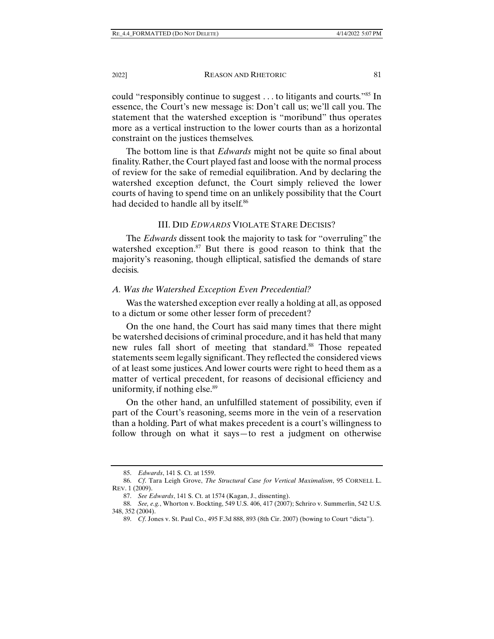could "responsibly continue to suggest . . . to litigants and courts."85 In essence, the Court's new message is: Don't call us; we'll call you. The statement that the watershed exception is "moribund" thus operates more as a vertical instruction to the lower courts than as a horizontal constraint on the justices themselves.

The bottom line is that *Edwards* might not be quite so final about finality. Rather, the Court played fast and loose with the normal process of review for the sake of remedial equilibration. And by declaring the watershed exception defunct, the Court simply relieved the lower courts of having to spend time on an unlikely possibility that the Court had decided to handle all by itself.<sup>86</sup>

#### III. DID *EDWARDS* VIOLATE STARE DECISIS?

The *Edwards* dissent took the majority to task for "overruling" the watershed exception.<sup>87</sup> But there is good reason to think that the majority's reasoning, though elliptical, satisfied the demands of stare decisis.

#### *A. Was the Watershed Exception Even Precedential?*

Was the watershed exception ever really a holding at all, as opposed to a dictum or some other lesser form of precedent?

On the one hand, the Court has said many times that there might be watershed decisions of criminal procedure, and it has held that many new rules fall short of meeting that standard.<sup>88</sup> Those repeated statements seem legally significant. They reflected the considered views of at least some justices. And lower courts were right to heed them as a matter of vertical precedent, for reasons of decisional efficiency and uniformity, if nothing else.<sup>89</sup>

On the other hand, an unfulfilled statement of possibility, even if part of the Court's reasoning, seems more in the vein of a reservation than a holding. Part of what makes precedent is a court's willingness to follow through on what it says—to rest a judgment on otherwise

 <sup>85.</sup> *Edwards*, 141 S. Ct. at 1559.

 <sup>86.</sup> *Cf*. Tara Leigh Grove, *The Structural Case for Vertical Maximalism*, 95 CORNELL L. REV. 1 (2009).

 <sup>87.</sup> *See Edwards*, 141 S. Ct. at 1574 (Kagan, J., dissenting).

 <sup>88.</sup> *See, e.g.*, Whorton v. Bockting, 549 U.S. 406, 417 (2007); Schriro v. Summerlin, 542 U.S. 348, 352 (2004).

 <sup>89.</sup> *Cf*. Jones v. St. Paul Co., 495 F.3d 888, 893 (8th Cir. 2007) (bowing to Court "dicta").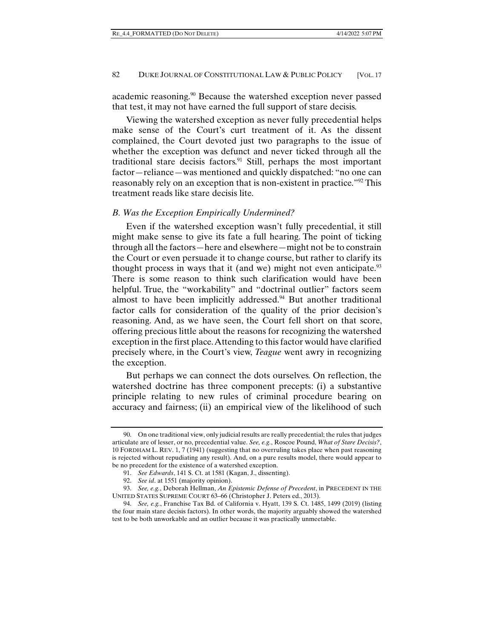academic reasoning.90 Because the watershed exception never passed that test, it may not have earned the full support of stare decisis.

Viewing the watershed exception as never fully precedential helps make sense of the Court's curt treatment of it. As the dissent complained, the Court devoted just two paragraphs to the issue of whether the exception was defunct and never ticked through all the traditional stare decisis factors.<sup>91</sup> Still, perhaps the most important factor—reliance—was mentioned and quickly dispatched: "no one can reasonably rely on an exception that is non-existent in practice."<sup>92</sup> This treatment reads like stare decisis lite.

## *B. Was the Exception Empirically Undermined?*

Even if the watershed exception wasn't fully precedential, it still might make sense to give its fate a full hearing. The point of ticking through all the factors—here and elsewhere—might not be to constrain the Court or even persuade it to change course, but rather to clarify its thought process in ways that it (and we) might not even anticipate. $93$ There is some reason to think such clarification would have been helpful. True, the "workability" and "doctrinal outlier" factors seem almost to have been implicitly addressed.<sup>94</sup> But another traditional factor calls for consideration of the quality of the prior decision's reasoning. And, as we have seen, the Court fell short on that score, offering precious little about the reasons for recognizing the watershed exception in the first place. Attending to this factor would have clarified precisely where, in the Court's view, *Teague* went awry in recognizing the exception.

But perhaps we can connect the dots ourselves. On reflection, the watershed doctrine has three component precepts: (i) a substantive principle relating to new rules of criminal procedure bearing on accuracy and fairness; (ii) an empirical view of the likelihood of such

 <sup>90.</sup> On one traditional view, only judicial results are really precedential; the rules that judges articulate are of lesser, or no, precedential value. *See, e.g.*, Roscoe Pound, *What of Stare Decisis?*, 10 FORDHAM L. REV. 1, 7 (1941) (suggesting that no overruling takes place when past reasoning is rejected without repudiating any result). And, on a pure results model, there would appear to be no precedent for the existence of a watershed exception.

 <sup>91.</sup> *See Edwards*, 141 S. Ct. at 1581 (Kagan, J., dissenting).

 <sup>92.</sup> *See id*. at 1551 (majority opinion).

 <sup>93.</sup> *See, e.g.*, Deborah Hellman, *An Epistemic Defense of Precedent*, in PRECEDENT IN THE UNITED STATES SUPREME COURT 63–66 (Christopher J. Peters ed., 2013).

 <sup>94.</sup> *See, e.g.*, Franchise Tax Bd. of California v. Hyatt, 139 S. Ct. 1485, 1499 (2019) (listing the four main stare decisis factors). In other words, the majority arguably showed the watershed test to be both unworkable and an outlier because it was practically unmeetable.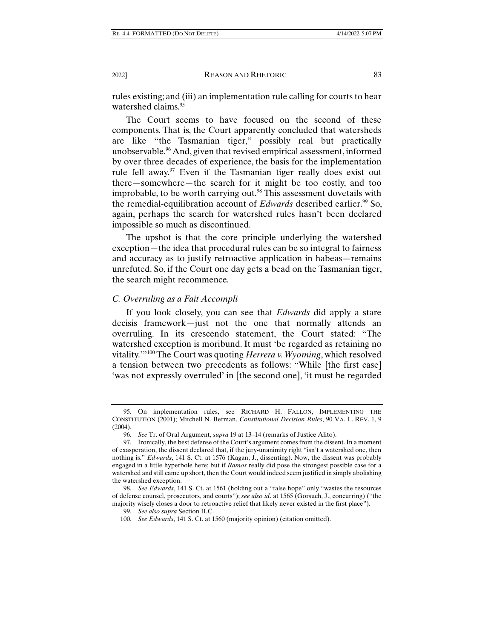rules existing; and (iii) an implementation rule calling for courts to hear watershed claims.<sup>95</sup>

The Court seems to have focused on the second of these components. That is, the Court apparently concluded that watersheds are like "the Tasmanian tiger," possibly real but practically unobservable.<sup>96</sup> And, given that revised empirical assessment, informed by over three decades of experience, the basis for the implementation rule fell away.<sup>97</sup> Even if the Tasmanian tiger really does exist out there—somewhere—the search for it might be too costly, and too improbable, to be worth carrying out.<sup>98</sup> This assessment dovetails with the remedial-equilibration account of *Edwards* described earlier.<sup>99</sup> So, again, perhaps the search for watershed rules hasn't been declared impossible so much as discontinued.

The upshot is that the core principle underlying the watershed exception—the idea that procedural rules can be so integral to fairness and accuracy as to justify retroactive application in habeas—remains unrefuted. So, if the Court one day gets a bead on the Tasmanian tiger, the search might recommence.

## *C. Overruling as a Fait Accompli*

If you look closely, you can see that *Edwards* did apply a stare decisis framework—just not the one that normally attends an overruling. In its crescendo statement, the Court stated: "The watershed exception is moribund. It must 'be regarded as retaining no vitality.'"100 The Court was quoting *Herrera v. Wyoming*, which resolved a tension between two precedents as follows: "While [the first case] 'was not expressly overruled' in [the second one], 'it must be regarded

 <sup>95.</sup> On implementation rules, see RICHARD H. FALLON, IMPLEMENTING THE CONSTITUTION (2001); Mitchell N. Berman, *Constitutional Decision Rules*, 90 VA. L. REV. 1, 9 (2004).

 <sup>96.</sup> *See* Tr. of Oral Argument, *supra* 19 at 13–14 (remarks of Justice Alito).

 <sup>97.</sup> Ironically, the best defense of the Court's argument comes from the dissent. In a moment of exasperation, the dissent declared that, if the jury-unanimity right "isn't a watershed one, then nothing is." *Edwards*, 141 S. Ct. at 1576 (Kagan, J., dissenting). Now, the dissent was probably engaged in a little hyperbole here; but if *Ramos* really did pose the strongest possible case for a watershed and still came up short, then the Court would indeed seem justified in simply abolishing the watershed exception.

 <sup>98.</sup> *See Edwards*, 141 S. Ct. at 1561 (holding out a "false hope" only "wastes the resources of defense counsel, prosecutors, and courts"); *see also id*. at 1565 (Gorsuch, J., concurring) ("the majority wisely closes a door to retroactive relief that likely never existed in the first place").

 <sup>99.</sup> *See also supra* Section II.C.

 <sup>100.</sup> *See Edwards*, 141 S. Ct. at 1560 (majority opinion) (citation omitted).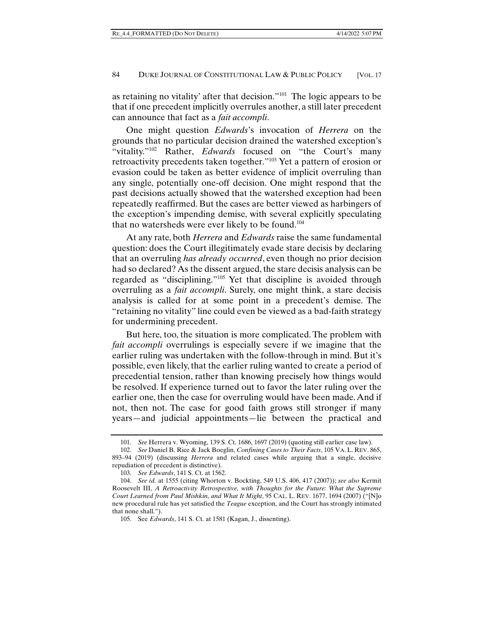as retaining no vitality' after that decision."101 The logic appears to be that if one precedent implicitly overrules another, a still later precedent can announce that fact as a *fait accompli*.

One might question *Edwards*'s invocation of *Herrera* on the grounds that no particular decision drained the watershed exception's "vitality."102 Rather, *Edwards* focused on "the Court's many retroactivity precedents taken together."103 Yet a pattern of erosion or evasion could be taken as better evidence of implicit overruling than any single, potentially one-off decision. One might respond that the past decisions actually showed that the watershed exception had been repeatedly reaffirmed. But the cases are better viewed as harbingers of the exception's impending demise, with several explicitly speculating that no watersheds were ever likely to be found.104

At any rate, both *Herrera* and *Edwards* raise the same fundamental question: does the Court illegitimately evade stare decisis by declaring that an overruling *has already occurred*, even though no prior decision had so declared? As the dissent argued, the stare decisis analysis can be regarded as "disciplining."105 Yet that discipline is avoided through overruling as a *fait accompli*. Surely, one might think, a stare decisis analysis is called for at some point in a precedent's demise. The "retaining no vitality" line could even be viewed as a bad-faith strategy for undermining precedent.

But here, too, the situation is more complicated. The problem with *fait accompli* overrulings is especially severe if we imagine that the earlier ruling was undertaken with the follow-through in mind. But it's possible, even likely, that the earlier ruling wanted to create a period of precedential tension, rather than knowing precisely how things would be resolved. If experience turned out to favor the later ruling over the earlier one, then the case for overruling would have been made. And if not, then not. The case for good faith grows still stronger if many years—and judicial appointments—lie between the practical and

 <sup>101.</sup> *See* Herrera v. Wyoming, 139 S. Ct. 1686, 1697 (2019) (quoting still earlier case law).

 <sup>102.</sup> *See* Daniel B. Rice & Jack Boeglin, *Confining Cases to Their Facts*, 105 VA. L. REV. 865, 893–94 (2019) (discussing *Herrera* and related cases while arguing that a single, decisive repudiation of precedent is distinctive).

 <sup>103.</sup> *See Edwards*, 141 S. Ct. at 1562.

 <sup>104.</sup> *See id.* at 1555 (citing Whorton v. Bockting, 549 U.S. 406, 417 (2007)); *see also* Kermit Roosevelt III, *A Retroactivity Retrospective, with Thoughts for the Future: What the Supreme Court Learned from Paul Mishkin, and What It Might*, 95 CAL. L. REV. 1677, 1694 (2007) ("[N]o new procedural rule has yet satisfied the *Teague* exception, and the Court has strongly intimated that none shall.").

 <sup>105.</sup> See *Edwards*, 141 S. Ct. at 1581 (Kagan, J., dissenting).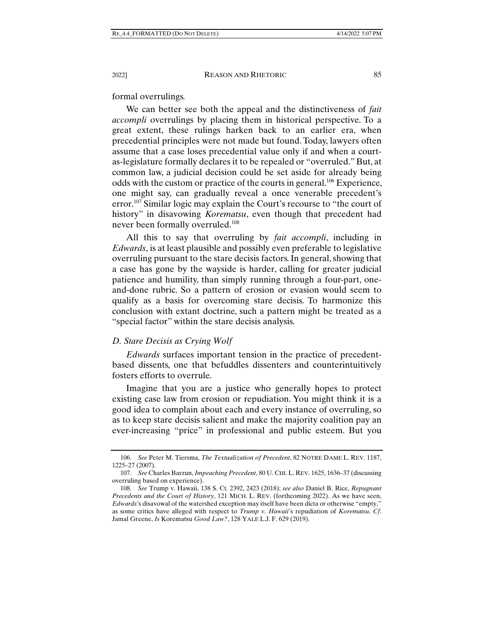formal overrulings.

We can better see both the appeal and the distinctiveness of *fait accompli* overrulings by placing them in historical perspective. To a great extent, these rulings harken back to an earlier era, when precedential principles were not made but found. Today, lawyers often assume that a case loses precedential value only if and when a courtas-legislature formally declares it to be repealed or "overruled." But, at common law, a judicial decision could be set aside for already being odds with the custom or practice of the courts in general.106 Experience, one might say, can gradually reveal a once venerable precedent's error.<sup>107</sup> Similar logic may explain the Court's recourse to "the court of history" in disavowing *Korematsu*, even though that precedent had never been formally overruled.108

All this to say that overruling by *fait accompli*, including in *Edwards*, is at least plausible and possibly even preferable to legislative overruling pursuant to the stare decisis factors. In general, showing that a case has gone by the wayside is harder, calling for greater judicial patience and humility, than simply running through a four-part, oneand-done rubric. So a pattern of erosion or evasion would seem to qualify as a basis for overcoming stare decisis. To harmonize this conclusion with extant doctrine, such a pattern might be treated as a "special factor" within the stare decisis analysis.

## *D. Stare Decisis as Crying Wolf*

*Edwards* surfaces important tension in the practice of precedentbased dissents, one that befuddles dissenters and counterintuitively fosters efforts to overrule.

Imagine that you are a justice who generally hopes to protect existing case law from erosion or repudiation. You might think it is a good idea to complain about each and every instance of overruling, so as to keep stare decisis salient and make the majority coalition pay an ever-increasing "price" in professional and public esteem. But you

 <sup>106.</sup> *See* Peter M. Tiersma, *The Textualization of Precedent*, 82 NOTRE DAME L. REV. 1187, 1225–27 (2007).

 <sup>107.</sup> *See* Charles Barzun, *Impeaching Precedent*, 80 U. CHI.L. REV. 1625, 1636–37 (discussing overruling based on experience).

 <sup>108.</sup> *See* Trump v. Hawaii, 138 S. Ct. 2392, 2423 (2018); *see also* Daniel B. Rice, *Repugnant Precedents and the Court of History*, 121 MICH. L. REV. (forthcoming 2022). As we have seen, *Edwards*'s disavowal of the watershed exception may itself have been dicta or otherwise "empty," as some critics have alleged with respect to *Trump v. Hawaii*'s repudiation of *Korematsu*. *Cf*. Jamal Greene, *Is* Korematsu *Good Law?*, 128 YALE L.J. F. 629 (2019).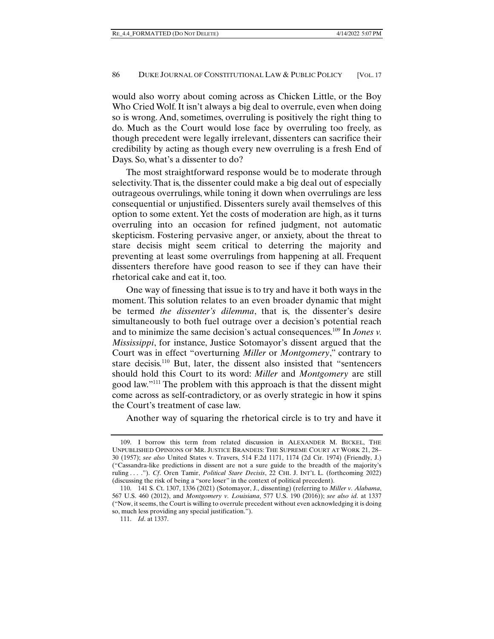would also worry about coming across as Chicken Little, or the Boy Who Cried Wolf. It isn't always a big deal to overrule, even when doing so is wrong. And, sometimes, overruling is positively the right thing to do. Much as the Court would lose face by overruling too freely, as though precedent were legally irrelevant, dissenters can sacrifice their credibility by acting as though every new overruling is a fresh End of Days. So, what's a dissenter to do?

The most straightforward response would be to moderate through selectivity. That is, the dissenter could make a big deal out of especially outrageous overrulings, while toning it down when overrulings are less consequential or unjustified. Dissenters surely avail themselves of this option to some extent. Yet the costs of moderation are high, as it turns overruling into an occasion for refined judgment, not automatic skepticism. Fostering pervasive anger, or anxiety, about the threat to stare decisis might seem critical to deterring the majority and preventing at least some overrulings from happening at all. Frequent dissenters therefore have good reason to see if they can have their rhetorical cake and eat it, too.

One way of finessing that issue is to try and have it both ways in the moment. This solution relates to an even broader dynamic that might be termed *the dissenter's dilemma*, that is, the dissenter's desire simultaneously to both fuel outrage over a decision's potential reach and to minimize the same decision's actual consequences.109 In *Jones v. Mississippi*, for instance, Justice Sotomayor's dissent argued that the Court was in effect "overturning *Miller* or *Montgomery*," contrary to stare decisis.110 But, later, the dissent also insisted that "sentencers should hold this Court to its word: *Miller* and *Montgomery* are still good law."111 The problem with this approach is that the dissent might come across as self-contradictory, or as overly strategic in how it spins the Court's treatment of case law.

Another way of squaring the rhetorical circle is to try and have it

 <sup>109.</sup> I borrow this term from related discussion in ALEXANDER M. BICKEL, THE UNPUBLISHED OPINIONS OF MR. JUSTICE BRANDEIS: THE SUPREME COURT AT WORK 21, 28– 30 (1957); *see also* United States v. Travers, 514 F.2d 1171, 1174 (2d Cir. 1974) (Friendly, J.) ("Cassandra-like predictions in dissent are not a sure guide to the breadth of the majority's ruling . . . ."). *Cf*. Oren Tamir, *Political Stare Decisis*, 22 CHI. J. INT'L L. (forthcoming 2022) (discussing the risk of being a "sore loser" in the context of political precedent).

 <sup>110. 141</sup> S. Ct. 1307, 1336 (2021) (Sotomayor, J., dissenting) (referring to *Miller v. Alabama*, 567 U.S. 460 (2012), and *Montgomery v. Louisiana*, 577 U.S. 190 (2016)); *see also id*. at 1337 ("Now, it seems, the Court is willing to overrule precedent without even acknowledging it is doing so, much less providing any special justification.").

 <sup>111.</sup> *Id*. at 1337.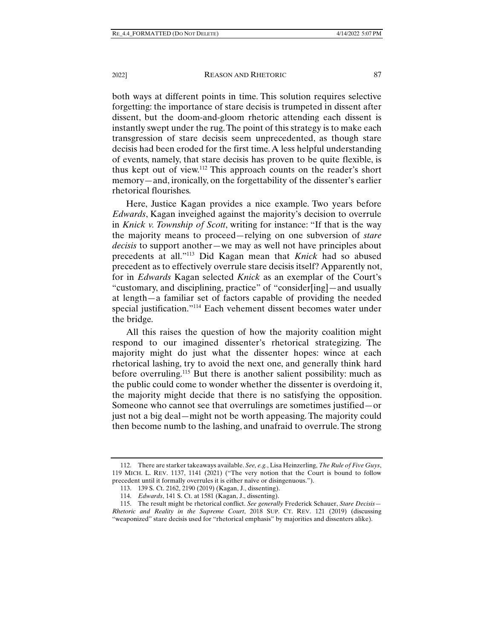both ways at different points in time. This solution requires selective forgetting: the importance of stare decisis is trumpeted in dissent after dissent, but the doom-and-gloom rhetoric attending each dissent is instantly swept under the rug. The point of this strategy is to make each transgression of stare decisis seem unprecedented, as though stare decisis had been eroded for the first time. A less helpful understanding of events, namely, that stare decisis has proven to be quite flexible, is thus kept out of view.112 This approach counts on the reader's short memory—and, ironically, on the forgettability of the dissenter's earlier rhetorical flourishes.

Here, Justice Kagan provides a nice example. Two years before *Edwards*, Kagan inveighed against the majority's decision to overrule in *Knick v. Township of Scott*, writing for instance: "If that is the way the majority means to proceed—relying on one subversion of *stare decisis* to support another—we may as well not have principles about precedents at all."113 Did Kagan mean that *Knick* had so abused precedent as to effectively overrule stare decisis itself? Apparently not, for in *Edwards* Kagan selected *Knick* as an exemplar of the Court's "customary, and disciplining, practice" of "consider[ing]—and usually at length—a familiar set of factors capable of providing the needed special justification."114 Each vehement dissent becomes water under the bridge.

All this raises the question of how the majority coalition might respond to our imagined dissenter's rhetorical strategizing. The majority might do just what the dissenter hopes: wince at each rhetorical lashing, try to avoid the next one, and generally think hard before overruling.115 But there is another salient possibility: much as the public could come to wonder whether the dissenter is overdoing it, the majority might decide that there is no satisfying the opposition. Someone who cannot see that overrulings are sometimes justified—or just not a big deal—might not be worth appeasing. The majority could then become numb to the lashing, and unafraid to overrule. The strong

 <sup>112.</sup> There are starker takeaways available. *See, e.g.*, Lisa Heinzerling, *The Rule of Five Guys*, 119 MICH. L. REV. 1137, 1141 (2021) ("The very notion that the Court is bound to follow precedent until it formally overrules it is either naïve or disingenuous.").

 <sup>113. 139</sup> S. Ct. 2162, 2190 (2019) (Kagan, J., dissenting).

 <sup>114.</sup> *Edwards*, 141 S. Ct. at 1581 (Kagan, J., dissenting).

 <sup>115.</sup> The result might be rhetorical conflict. *See generally* Frederick Schauer, *Stare Decisis— Rhetoric and Reality in the Supreme Court*, 2018 SUP. CT. REV. 121 (2019) (discussing "weaponized" stare decisis used for "rhetorical emphasis" by majorities and dissenters alike).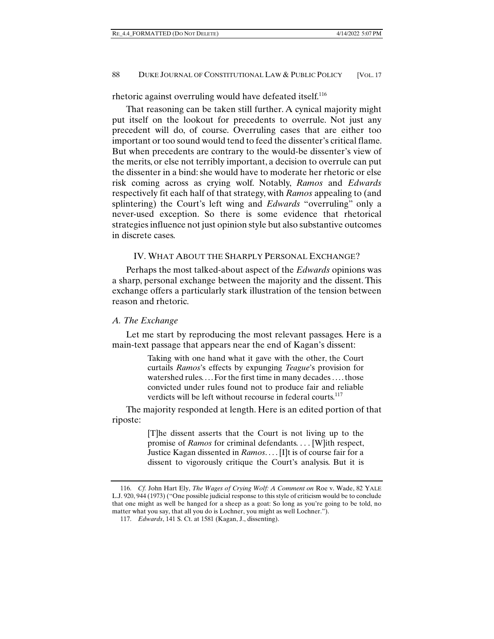rhetoric against overruling would have defeated itself.116

That reasoning can be taken still further. A cynical majority might put itself on the lookout for precedents to overrule. Not just any precedent will do, of course. Overruling cases that are either too important or too sound would tend to feed the dissenter's critical flame. But when precedents are contrary to the would-be dissenter's view of the merits, or else not terribly important, a decision to overrule can put the dissenter in a bind: she would have to moderate her rhetoric or else risk coming across as crying wolf. Notably, *Ramos* and *Edwards*  respectively fit each half of that strategy, with *Ramos* appealing to (and splintering) the Court's left wing and *Edwards* "overruling" only a never-used exception. So there is some evidence that rhetorical strategies influence not just opinion style but also substantive outcomes in discrete cases.

# IV. WHAT ABOUT THE SHARPLY PERSONAL EXCHANGE?

Perhaps the most talked-about aspect of the *Edwards* opinions was a sharp, personal exchange between the majority and the dissent. This exchange offers a particularly stark illustration of the tension between reason and rhetoric.

# *A. The Exchange*

Let me start by reproducing the most relevant passages. Here is a main-text passage that appears near the end of Kagan's dissent:

> Taking with one hand what it gave with the other, the Court curtails *Ramos*'s effects by expunging *Teague*'s provision for watershed rules.... For the first time in many decades .... those convicted under rules found not to produce fair and reliable verdicts will be left without recourse in federal courts.<sup>117</sup>

The majority responded at length. Here is an edited portion of that riposte:

> [T]he dissent asserts that the Court is not living up to the promise of *Ramos* for criminal defendants. . . . [W]ith respect, Justice Kagan dissented in *Ramos*. . . . [I]t is of course fair for a dissent to vigorously critique the Court's analysis. But it is

 <sup>116.</sup> *Cf.* John Hart Ely, *The Wages of Crying Wolf: A Comment on* Roe v. Wade, 82 YALE L.J. 920, 944 (1973) ("One possible judicial response to this style of criticism would be to conclude that one might as well be hanged for a sheep as a goat: So long as you're going to be told, no matter what you say, that all you do is Lochner, you might as well Lochner.").

 <sup>117.</sup> *Edwards*, 141 S. Ct. at 1581 (Kagan, J., dissenting).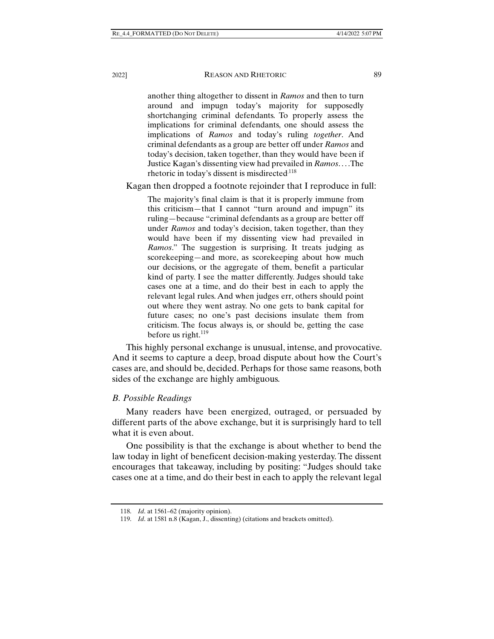another thing altogether to dissent in *Ramos* and then to turn around and impugn today's majority for supposedly shortchanging criminal defendants. To properly assess the implications for criminal defendants, one should assess the implications of *Ramos* and today's ruling *together*. And criminal defendants as a group are better off under *Ramos* and today's decision, taken together, than they would have been if Justice Kagan's dissenting view had prevailed in *Ramos*. . . .The rhetoric in today's dissent is misdirected.118

Kagan then dropped a footnote rejoinder that I reproduce in full:

The majority's final claim is that it is properly immune from this criticism—that I cannot "turn around and impugn" its ruling—because "criminal defendants as a group are better off under *Ramos* and today's decision, taken together, than they would have been if my dissenting view had prevailed in *Ramos*." The suggestion is surprising. It treats judging as scorekeeping—and more, as scorekeeping about how much our decisions, or the aggregate of them, benefit a particular kind of party. I see the matter differently. Judges should take cases one at a time, and do their best in each to apply the relevant legal rules. And when judges err, others should point out where they went astray. No one gets to bank capital for future cases; no one's past decisions insulate them from criticism. The focus always is, or should be, getting the case before us right. $119$ 

This highly personal exchange is unusual, intense, and provocative. And it seems to capture a deep, broad dispute about how the Court's cases are, and should be, decided. Perhaps for those same reasons, both sides of the exchange are highly ambiguous.

## *B. Possible Readings*

Many readers have been energized, outraged, or persuaded by different parts of the above exchange, but it is surprisingly hard to tell what it is even about.

One possibility is that the exchange is about whether to bend the law today in light of beneficent decision-making yesterday. The dissent encourages that takeaway, including by positing: "Judges should take cases one at a time, and do their best in each to apply the relevant legal

 <sup>118.</sup> *Id*. at 1561–62 (majority opinion).

 <sup>119.</sup> *Id*. at 1581 n.8 (Kagan, J., dissenting) (citations and brackets omitted).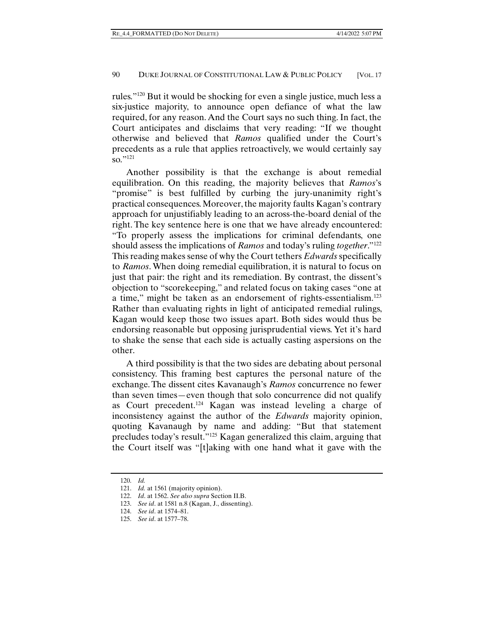rules."120 But it would be shocking for even a single justice, much less a six-justice majority, to announce open defiance of what the law required, for any reason. And the Court says no such thing. In fact, the Court anticipates and disclaims that very reading: "If we thought otherwise and believed that *Ramos* qualified under the Court's precedents as a rule that applies retroactively, we would certainly say so."121

Another possibility is that the exchange is about remedial equilibration. On this reading, the majority believes that *Ramos*'s "promise" is best fulfilled by curbing the jury-unanimity right's practical consequences. Moreover, the majority faults Kagan's contrary approach for unjustifiably leading to an across-the-board denial of the right. The key sentence here is one that we have already encountered: "To properly assess the implications for criminal defendants, one should assess the implications of *Ramos* and today's ruling *together*."122 This reading makes sense of why the Court tethers *Edwards* specifically to *Ramos*. When doing remedial equilibration, it is natural to focus on just that pair: the right and its remediation. By contrast, the dissent's objection to "scorekeeping," and related focus on taking cases "one at a time," might be taken as an endorsement of rights-essentialism.123 Rather than evaluating rights in light of anticipated remedial rulings, Kagan would keep those two issues apart. Both sides would thus be endorsing reasonable but opposing jurisprudential views. Yet it's hard to shake the sense that each side is actually casting aspersions on the other.

A third possibility is that the two sides are debating about personal consistency. This framing best captures the personal nature of the exchange. The dissent cites Kavanaugh's *Ramos* concurrence no fewer than seven times—even though that solo concurrence did not qualify as Court precedent.124 Kagan was instead leveling a charge of inconsistency against the author of the *Edwards* majority opinion, quoting Kavanaugh by name and adding: "But that statement precludes today's result."125 Kagan generalized this claim, arguing that the Court itself was "[t]aking with one hand what it gave with the

 <sup>120.</sup> *Id.* 

 <sup>121.</sup> *Id.* at 1561 (majority opinion).

 <sup>122.</sup> *Id*. at 1562. *See also supra* Section II.B.

 <sup>123.</sup> *See id*. at 1581 n.8 (Kagan, J., dissenting).

 <sup>124.</sup> *See id*. at 1574–81.

 <sup>125.</sup> *See id*. at 1577–78.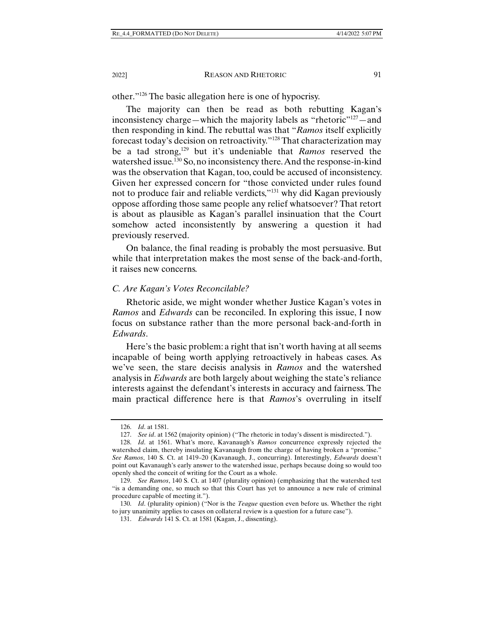other."126 The basic allegation here is one of hypocrisy.

The majority can then be read as both rebutting Kagan's inconsistency charge—which the majority labels as "rhetoric"127—and then responding in kind. The rebuttal was that "*Ramos* itself explicitly forecast today's decision on retroactivity."128 That characterization may be a tad strong,129 but it's undeniable that *Ramos* reserved the watershed issue.<sup>130</sup> So, no inconsistency there. And the response-in-kind was the observation that Kagan, too, could be accused of inconsistency. Given her expressed concern for "those convicted under rules found not to produce fair and reliable verdicts,"131 why did Kagan previously oppose affording those same people any relief whatsoever? That retort is about as plausible as Kagan's parallel insinuation that the Court somehow acted inconsistently by answering a question it had previously reserved.

On balance, the final reading is probably the most persuasive. But while that interpretation makes the most sense of the back-and-forth, it raises new concerns.

## *C. Are Kagan's Votes Reconcilable?*

Rhetoric aside, we might wonder whether Justice Kagan's votes in *Ramos* and *Edwards* can be reconciled. In exploring this issue, I now focus on substance rather than the more personal back-and-forth in *Edwards*.

Here's the basic problem: a right that isn't worth having at all seems incapable of being worth applying retroactively in habeas cases. As we've seen, the stare decisis analysis in *Ramos* and the watershed analysis in *Edwards* are both largely about weighing the state's reliance interests against the defendant's interests in accuracy and fairness. The main practical difference here is that *Ramos*'s overruling in itself

 <sup>126.</sup> *Id*. at 1581.

 <sup>127.</sup> *See id*. at 1562 (majority opinion) ("The rhetoric in today's dissent is misdirected.").

 <sup>128.</sup> *Id*. at 1561. What's more, Kavanaugh's *Ramos* concurrence expressly rejected the watershed claim, thereby insulating Kavanaugh from the charge of having broken a "promise." *See Ramos*, 140 S. Ct. at 1419–20 (Kavanaugh, J., concurring). Interestingly, *Edwards* doesn't point out Kavanaugh's early answer to the watershed issue, perhaps because doing so would too openly shed the conceit of writing for the Court as a whole.

 <sup>129.</sup> *See Ramos*, 140 S. Ct. at 1407 (plurality opinion) (emphasizing that the watershed test "is a demanding one, so much so that this Court has yet to announce a new rule of criminal procedure capable of meeting it.").

 <sup>130.</sup> *Id*. (plurality opinion) ("Nor is the *Teague* question even before us. Whether the right to jury unanimity applies to cases on collateral review is a question for a future case").

 <sup>131.</sup> *Edwards* 141 S. Ct. at 1581 (Kagan, J., dissenting).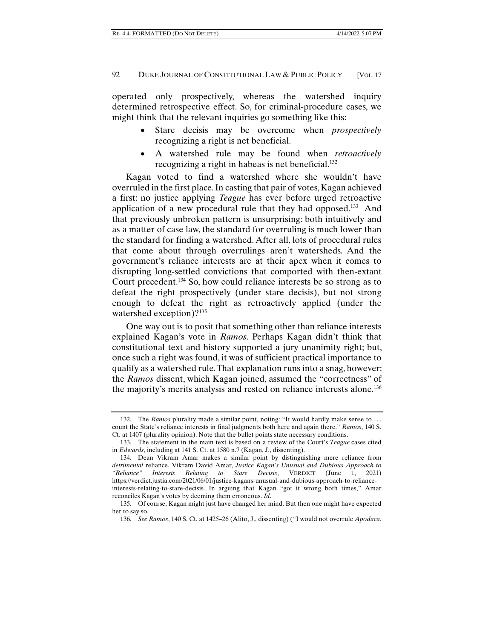operated only prospectively, whereas the watershed inquiry determined retrospective effect. So, for criminal-procedure cases, we might think that the relevant inquiries go something like this:

- Stare decisis may be overcome when *prospectively* recognizing a right is net beneficial.
- A watershed rule may be found when *retroactively* recognizing a right in habeas is net beneficial.132

Kagan voted to find a watershed where she wouldn't have overruled in the first place. In casting that pair of votes, Kagan achieved a first: no justice applying *Teague* has ever before urged retroactive application of a new procedural rule that they had opposed.<sup>133</sup> And that previously unbroken pattern is unsurprising: both intuitively and as a matter of case law, the standard for overruling is much lower than the standard for finding a watershed. After all, lots of procedural rules that come about through overrulings aren't watersheds. And the government's reliance interests are at their apex when it comes to disrupting long-settled convictions that comported with then-extant Court precedent.134 So, how could reliance interests be so strong as to defeat the right prospectively (under stare decisis), but not strong enough to defeat the right as retroactively applied (under the watershed exception)?<sup>135</sup>

One way out is to posit that something other than reliance interests explained Kagan's vote in *Ramos*. Perhaps Kagan didn't think that constitutional text and history supported a jury unanimity right; but, once such a right was found, it was of sufficient practical importance to qualify as a watershed rule. That explanation runs into a snag, however: the *Ramos* dissent, which Kagan joined, assumed the "correctness" of the majority's merits analysis and rested on reliance interests alone.136

<sup>132.</sup> The *Ramos* plurality made a similar point, noting: "It would hardly make sense to ... count the State's reliance interests in final judgments both here and again there." *Ramos*, 140 S. Ct. at 1407 (plurality opinion). Note that the bullet points state necessary conditions.

 <sup>133.</sup> The statement in the main text is based on a review of the Court's *Teague* cases cited in *Edwards*, including at 141 S. Ct. at 1580 n.7 (Kagan, J., dissenting).

 <sup>134.</sup> Dean Vikram Amar makes a similar point by distinguishing mere reliance from *detrimental* reliance. Vikram David Amar, *Justice Kagan's Unusual and Dubious Approach to "Reliance" Interests Relating to Stare Decisis*, VERDICT (June 1, 2021) https://verdict.justia.com/2021/06/01/justice-kagans-unusual-and-dubious-approach-to-relianceinterests-relating-to-stare-decisis. In arguing that Kagan "got it wrong both times," Amar reconciles Kagan's votes by deeming them erroneous. *Id*.

 <sup>135.</sup> Of course, Kagan might just have changed her mind. But then one might have expected her to say so.

 <sup>136.</sup> *See Ramos*, 140 S. Ct. at 1425–26 (Alito, J., dissenting) ("I would not overrule *Apodaca*.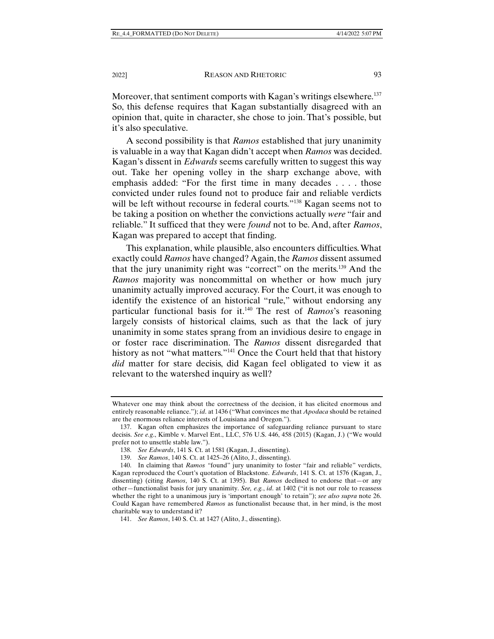Moreover, that sentiment comports with Kagan's writings elsewhere.<sup>137</sup> So, this defense requires that Kagan substantially disagreed with an opinion that, quite in character, she chose to join. That's possible, but it's also speculative.

A second possibility is that *Ramos* established that jury unanimity is valuable in a way that Kagan didn't accept when *Ramos* was decided. Kagan's dissent in *Edwards* seems carefully written to suggest this way out. Take her opening volley in the sharp exchange above, with emphasis added: "For the first time in many decades . . . . those convicted under rules found not to produce fair and reliable verdicts will be left without recourse in federal courts."<sup>138</sup> Kagan seems not to be taking a position on whether the convictions actually *were* "fair and reliable." It sufficed that they were *found* not to be. And, after *Ramos*, Kagan was prepared to accept that finding.

This explanation, while plausible, also encounters difficulties. What exactly could *Ramos* have changed? Again, the *Ramos* dissent assumed that the jury unanimity right was "correct" on the merits.139 And the *Ramos* majority was noncommittal on whether or how much jury unanimity actually improved accuracy. For the Court, it was enough to identify the existence of an historical "rule," without endorsing any particular functional basis for it.140 The rest of *Ramos*'s reasoning largely consists of historical claims, such as that the lack of jury unanimity in some states sprang from an invidious desire to engage in or foster race discrimination. The *Ramos* dissent disregarded that history as not "what matters."<sup>141</sup> Once the Court held that that history *did* matter for stare decisis, did Kagan feel obligated to view it as relevant to the watershed inquiry as well?

Whatever one may think about the correctness of the decision, it has elicited enormous and entirely reasonable reliance."); *id*. at 1436 ("What convinces me that *Apodaca* should be retained are the enormous reliance interests of Louisiana and Oregon.").

 <sup>137.</sup> Kagan often emphasizes the importance of safeguarding reliance pursuant to stare decisis. *See e.g*., Kimble v. Marvel Ent., LLC, 576 U.S. 446, 458 (2015) (Kagan, J.) ("We would prefer not to unsettle stable law.").

 <sup>138.</sup> *See Edwards*, 141 S. Ct. at 1581 (Kagan, J., dissenting).

 <sup>139.</sup> *See Ramos*, 140 S. Ct. at 1425–26 (Alito, J., dissenting).

 <sup>140.</sup> In claiming that *Ramos "*found" jury unanimity to foster "fair and reliable" verdicts, Kagan reproduced the Court's quotation of Blackstone. *Edwards*, 141 S. Ct. at 1576 (Kagan, J., dissenting) (citing *Ramos*, 140 S. Ct. at 1395). But *Ramos* declined to endorse that—or any other—functionalist basis for jury unanimity. *See, e.g.*, *id*. at 1402 ("it is not our role to reassess whether the right to a unanimous jury is 'important enough' to retain"); *see also supra* note 26. Could Kagan have remembered *Ramos* as functionalist because that, in her mind, is the most charitable way to understand it?

 <sup>141.</sup> *See Ramos*, 140 S. Ct. at 1427 (Alito, J., dissenting).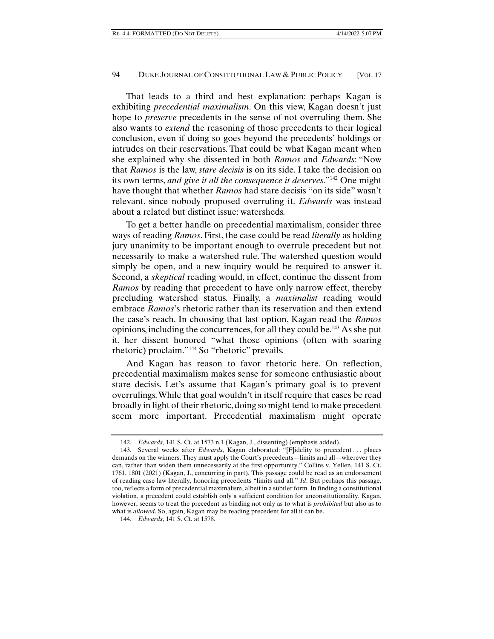That leads to a third and best explanation: perhaps Kagan is exhibiting *precedential maximalism*. On this view, Kagan doesn't just hope to *preserve* precedents in the sense of not overruling them. She also wants to *extend* the reasoning of those precedents to their logical conclusion, even if doing so goes beyond the precedents' holdings or intrudes on their reservations. That could be what Kagan meant when she explained why she dissented in both *Ramos* and *Edwards*: "Now that *Ramos* is the law, *stare decisis* is on its side. I take the decision on its own terms, *and give it all the consequence it deserves*."142 One might have thought that whether *Ramos* had stare decisis "on its side" wasn't relevant, since nobody proposed overruling it. *Edwards* was instead about a related but distinct issue: watersheds.

To get a better handle on precedential maximalism, consider three ways of reading *Ramos*. First, the case could be read *literally* as holding jury unanimity to be important enough to overrule precedent but not necessarily to make a watershed rule. The watershed question would simply be open, and a new inquiry would be required to answer it. Second, a *skeptical* reading would, in effect, continue the dissent from *Ramos* by reading that precedent to have only narrow effect, thereby precluding watershed status. Finally, a *maximalist* reading would embrace *Ramos*'s rhetoric rather than its reservation and then extend the case's reach. In choosing that last option, Kagan read the *Ramos*  opinions, including the concurrences, for all they could be.143 As she put it, her dissent honored "what those opinions (often with soaring rhetoric) proclaim."144 So "rhetoric" prevails.

And Kagan has reason to favor rhetoric here. On reflection, precedential maximalism makes sense for someone enthusiastic about stare decisis. Let's assume that Kagan's primary goal is to prevent overrulings. While that goal wouldn't in itself require that cases be read broadly in light of their rhetoric, doing so might tend to make precedent seem more important. Precedential maximalism might operate

 <sup>142.</sup> *Edwards*, 141 S. Ct. at 1573 n.1 (Kagan, J., dissenting) (emphasis added).

 <sup>143.</sup> Several weeks after *Edwards*, Kagan elaborated: "[F]idelity to precedent . . . places demands on the winners. They must apply the Court's precedents—limits and all—wherever they can, rather than widen them unnecessarily at the first opportunity." Collins v. Yellen, 141 S. Ct. 1761, 1801 (2021) (Kagan, J., concurring in part). This passage could be read as an endorsement of reading case law literally, honoring precedents "limits and all." *Id*. But perhaps this passage, too, reflects a form of precedential maximalism, albeit in a subtler form. In finding a constitutional violation, a precedent could establish only a sufficient condition for unconstitutionality. Kagan, however, seems to treat the precedent as binding not only as to what is *prohibited* but also as to what is *allowed*. So, again, Kagan may be reading precedent for all it can be.

 <sup>144.</sup> *Edwards*, 141 S. Ct. at 1578.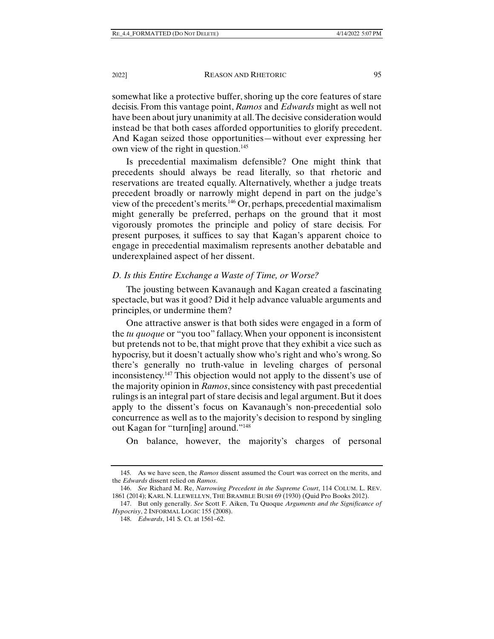somewhat like a protective buffer, shoring up the core features of stare decisis. From this vantage point, *Ramos* and *Edwards* might as well not have been about jury unanimity at all. The decisive consideration would instead be that both cases afforded opportunities to glorify precedent. And Kagan seized those opportunities—without ever expressing her own view of the right in question.<sup>145</sup>

Is precedential maximalism defensible? One might think that precedents should always be read literally, so that rhetoric and reservations are treated equally. Alternatively, whether a judge treats precedent broadly or narrowly might depend in part on the judge's view of the precedent's merits.146 Or, perhaps, precedential maximalism might generally be preferred, perhaps on the ground that it most vigorously promotes the principle and policy of stare decisis. For present purposes, it suffices to say that Kagan's apparent choice to engage in precedential maximalism represents another debatable and underexplained aspect of her dissent.

## *D. Is this Entire Exchange a Waste of Time, or Worse?*

The jousting between Kavanaugh and Kagan created a fascinating spectacle, but was it good? Did it help advance valuable arguments and principles, or undermine them?

One attractive answer is that both sides were engaged in a form of the *tu quoque* or "you too" fallacy. When your opponent is inconsistent but pretends not to be, that might prove that they exhibit a vice such as hypocrisy, but it doesn't actually show who's right and who's wrong. So there's generally no truth-value in leveling charges of personal inconsistency.147 This objection would not apply to the dissent's use of the majority opinion in *Ramos*, since consistency with past precedential rulings is an integral part of stare decisis and legal argument. But it does apply to the dissent's focus on Kavanaugh's non-precedential solo concurrence as well as to the majority's decision to respond by singling out Kagan for "turn[ing] around."148

On balance, however, the majority's charges of personal

<sup>145</sup>*.* As we have seen, the *Ramos* dissent assumed the Court was correct on the merits, and the *Edwards* dissent relied on *Ramos*.

 <sup>146.</sup> *See* Richard M. Re, *Narrowing Precedent in the Supreme Court*, 114 COLUM. L. REV. 1861 (2014); KARL N. LLEWELLYN, THE BRAMBLE BUSH 69 (1930) (Quid Pro Books 2012).

 <sup>147.</sup> But only generally. *See* Scott F. Aiken, Tu Quoque *Arguments and the Significance of Hypocrisy*, 2 INFORMAL LOGIC 155 (2008).

 <sup>148.</sup> *Edwards*, 141 S. Ct. at 1561–62.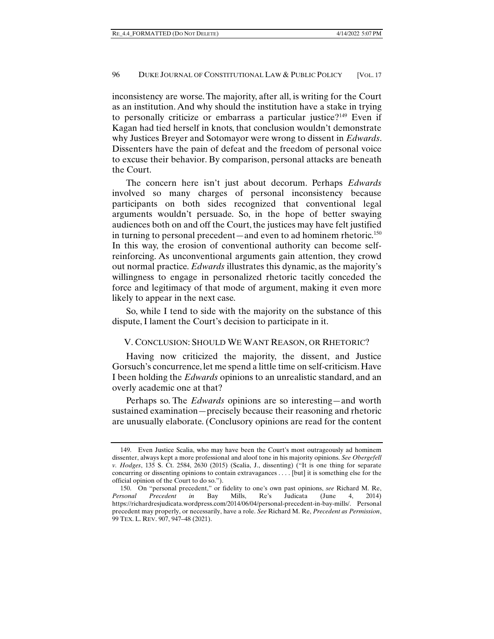inconsistency are worse. The majority, after all, is writing for the Court as an institution. And why should the institution have a stake in trying to personally criticize or embarrass a particular justice?<sup>149</sup> Even if Kagan had tied herself in knots, that conclusion wouldn't demonstrate why Justices Breyer and Sotomayor were wrong to dissent in *Edwards*. Dissenters have the pain of defeat and the freedom of personal voice to excuse their behavior. By comparison, personal attacks are beneath the Court.

The concern here isn't just about decorum. Perhaps *Edwards*  involved so many charges of personal inconsistency because participants on both sides recognized that conventional legal arguments wouldn't persuade. So, in the hope of better swaying audiences both on and off the Court, the justices may have felt justified in turning to personal precedent—and even to ad hominem rhetoric.<sup>150</sup> In this way, the erosion of conventional authority can become selfreinforcing. As unconventional arguments gain attention, they crowd out normal practice. *Edwards* illustrates this dynamic, as the majority's willingness to engage in personalized rhetoric tacitly conceded the force and legitimacy of that mode of argument, making it even more likely to appear in the next case.

So, while I tend to side with the majority on the substance of this dispute, I lament the Court's decision to participate in it.

# V. CONCLUSION: SHOULD WE WANT REASON, OR RHETORIC?

Having now criticized the majority, the dissent, and Justice Gorsuch's concurrence, let me spend a little time on self-criticism. Have I been holding the *Edwards* opinions to an unrealistic standard, and an overly academic one at that?

Perhaps so. The *Edwards* opinions are so interesting—and worth sustained examination—precisely because their reasoning and rhetoric are unusually elaborate. (Conclusory opinions are read for the content

 <sup>149.</sup> Even Justice Scalia, who may have been the Court's most outrageously ad hominem dissenter, always kept a more professional and aloof tone in his majority opinions. *See Obergefell v. Hodges*, 135 S. Ct. 2584, 2630 (2015) (Scalia, J., dissenting) ("It is one thing for separate concurring or dissenting opinions to contain extravagances . . . . [but] it is something else for the official opinion of the Court to do so.").

 <sup>150.</sup> On "personal precedent," or fidelity to one's own past opinions, *see* Richard M. Re, *Personal Precedent in* Bay Mills, Re's Judicata (June 4, 2014) https://richardresjudicata.wordpress.com/2014/06/04/personal-precedent-in-bay-mills/. Personal precedent may properly, or necessarily, have a role. *See* Richard M. Re, *Precedent as Permission*, 99 TEX. L. REV. 907, 947–48 (2021).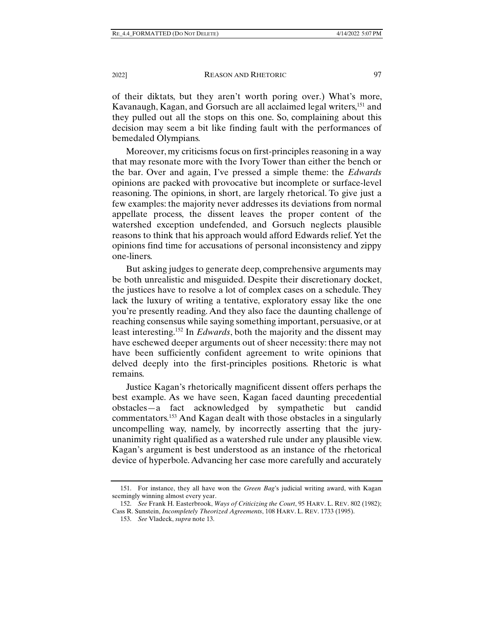of their diktats, but they aren't worth poring over.) What's more, Kavanaugh, Kagan, and Gorsuch are all acclaimed legal writers,<sup>151</sup> and they pulled out all the stops on this one. So, complaining about this decision may seem a bit like finding fault with the performances of bemedaled Olympians.

Moreover, my criticisms focus on first-principles reasoning in a way that may resonate more with the Ivory Tower than either the bench or the bar. Over and again, I've pressed a simple theme: the *Edwards*  opinions are packed with provocative but incomplete or surface-level reasoning. The opinions, in short, are largely rhetorical. To give just a few examples: the majority never addresses its deviations from normal appellate process, the dissent leaves the proper content of the watershed exception undefended, and Gorsuch neglects plausible reasons to think that his approach would afford Edwards relief. Yet the opinions find time for accusations of personal inconsistency and zippy one-liners.

But asking judges to generate deep, comprehensive arguments may be both unrealistic and misguided. Despite their discretionary docket, the justices have to resolve a lot of complex cases on a schedule. They lack the luxury of writing a tentative, exploratory essay like the one you're presently reading. And they also face the daunting challenge of reaching consensus while saying something important, persuasive, or at least interesting.152 In *Edwards*, both the majority and the dissent may have eschewed deeper arguments out of sheer necessity: there may not have been sufficiently confident agreement to write opinions that delved deeply into the first-principles positions. Rhetoric is what remains.

Justice Kagan's rhetorically magnificent dissent offers perhaps the best example. As we have seen, Kagan faced daunting precedential obstacles—a fact acknowledged by sympathetic but candid commentators.153 And Kagan dealt with those obstacles in a singularly uncompelling way, namely, by incorrectly asserting that the juryunanimity right qualified as a watershed rule under any plausible view. Kagan's argument is best understood as an instance of the rhetorical device of hyperbole. Advancing her case more carefully and accurately

 <sup>151.</sup> For instance, they all have won the *Green Bag*'s judicial writing award, with Kagan seemingly winning almost every year.

 <sup>152.</sup> *See* Frank H. Easterbrook, *Ways of Criticizing the Court*, 95 HARV. L. REV. 802 (1982); Cass R. Sunstein, *Incompletely Theorized Agreements*, 108 HARV. L. REV. 1733 (1995).

 <sup>153.</sup> *See* Vladeck, *supra* note 13.